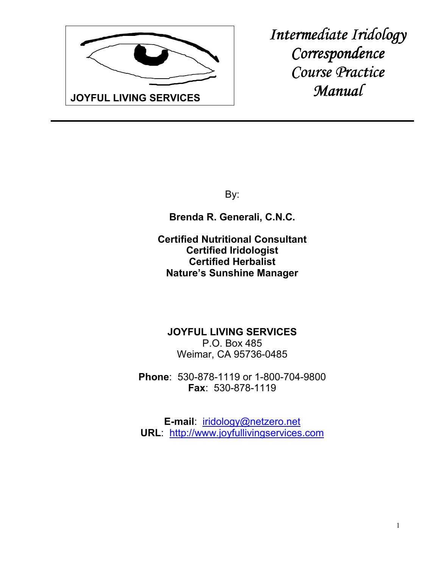

*Intermediate Iridology Correspondence Course Practice Course Practice Manual* 

By:

**Brenda R. Generali, C.N.C.**

**Certified Nutritional Consultant Certified Iridologist Certified Herbalist Nature's Sunshine Manager**

**JOYFUL LIVING SERVICES** P.O. Box 485 Weimar, CA 95736-0485

**Phone**: 530-878-1119 or 1-800-704-9800 **Fax**: 530-878-1119

**E-mail**: iridology@netzero.net **URL**: http://www.joyfullivingservices.com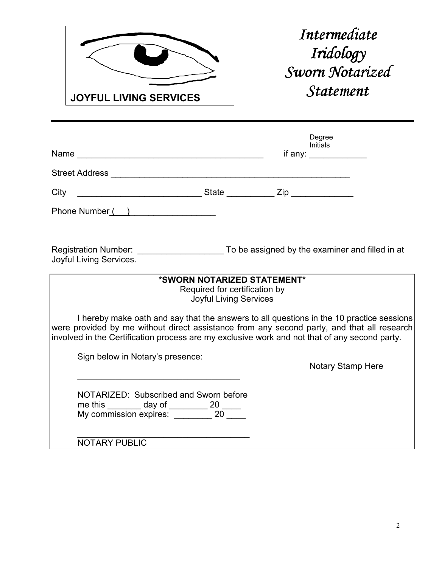

*Intermediate Iridology Iridology*   $Sworn$  Notarized *Statement Statement* 

|                                                                                                                               | Degree<br><b>Initials</b><br>if any: $\frac{1}{2}$                                                                                                                                                                                                                                      |
|-------------------------------------------------------------------------------------------------------------------------------|-----------------------------------------------------------------------------------------------------------------------------------------------------------------------------------------------------------------------------------------------------------------------------------------|
|                                                                                                                               |                                                                                                                                                                                                                                                                                         |
| City                                                                                                                          |                                                                                                                                                                                                                                                                                         |
| Phone Number()                                                                                                                |                                                                                                                                                                                                                                                                                         |
| Joyful Living Services.                                                                                                       | Registration Number: To be assigned by the examiner and filled in at                                                                                                                                                                                                                    |
|                                                                                                                               | *SWORN NOTARIZED STATEMENT*<br>Required for certification by<br><b>Joyful Living Services</b>                                                                                                                                                                                           |
|                                                                                                                               | I hereby make oath and say that the answers to all questions in the 10 practice sessions<br>were provided by me without direct assistance from any second party, and that all research<br>involved in the Certification process are my exclusive work and not that of any second party. |
| Sign below in Notary's presence:                                                                                              | <b>Notary Stamp Here</b>                                                                                                                                                                                                                                                                |
| NOTARIZED: Subscribed and Sworn before<br>me this _______ day of ________ 20 _____<br>My commission expires: ________ 20 ____ |                                                                                                                                                                                                                                                                                         |
| <b>NOTARY PUBLIC</b>                                                                                                          |                                                                                                                                                                                                                                                                                         |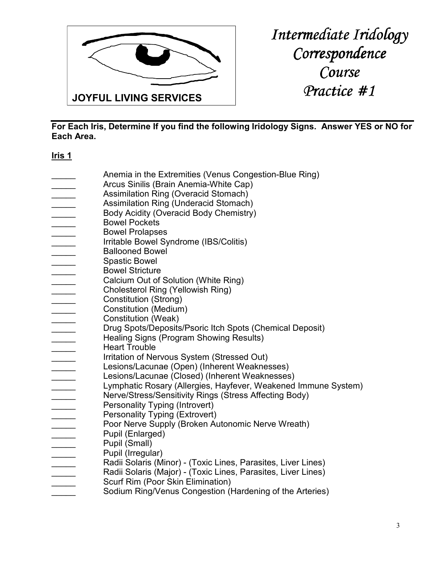

**For Each Iris, Determine If you find the following Iridology Signs. Answer YES or NO for Each Area.** 

# **Iris 1**

- Anemia in the Extremities (Venus Congestion-Blue Ring) Arcus Sinilis (Brain Anemia-White Cap) Assimilation Ring (Overacid Stomach)
- Assimilation Ring (Underacid Stomach)
- Body Acidity (Overacid Body Chemistry)
- \_\_\_\_\_ Bowel Pockets
- \_\_\_\_\_ Bowel Prolapses
- Irritable Bowel Syndrome (IBS/Colitis)
- \_\_\_\_\_ Ballooned Bowel
- Spastic Bowel
- \_\_\_\_\_ Bowel Stricture
- Calcium Out of Solution (White Ring)
- \_\_\_\_\_ Cholesterol Ring (Yellowish Ring)
- Constitution (Strong)
- Constitution (Medium)
- Constitution (Weak)
- Drug Spots/Deposits/Psoric Itch Spots (Chemical Deposit)
- Healing Signs (Program Showing Results)
- Heart Trouble
- Irritation of Nervous System (Stressed Out)
- Lesions/Lacunae (Open) (Inherent Weaknesses)
- Lesions/Lacunae (Closed) (Inherent Weaknesses)
- Lymphatic Rosary (Allergies, Hayfever, Weakened Immune System)
	- Nerve/Stress/Sensitivity Rings (Stress Affecting Body)
- Personality Typing (Introvert)
- Personality Typing (Extrovert)
	- Poor Nerve Supply (Broken Autonomic Nerve Wreath)
	- Pupil (Enlarged)
	- Pupil (Small)
	- Pupil (Irregular)
- Radii Solaris (Minor) (Toxic Lines, Parasites, Liver Lines)
- Radii Solaris (Major) (Toxic Lines, Parasites, Liver Lines)
- Scurf Rim (Poor Skin Elimination)
- Sodium Ring/Venus Congestion (Hardening of the Arteries)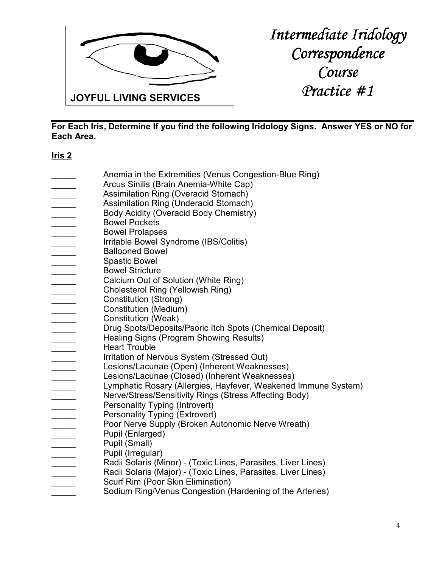

**For Each Iris, Determine If you find the following Iridology Signs. Answer YES or NO for Each Area.** 

# **Iris 2**

- Anemia in the Extremities (Venus Congestion-Blue Ring) Arcus Sinilis (Brain Anemia-White Cap)
- Assimilation Ring (Overacid Stomach)
- Assimilation Ring (Underacid Stomach)
- Body Acidity (Overacid Body Chemistry)
- \_\_\_\_\_ Bowel Pockets
- \_\_\_\_\_ Bowel Prolapses
- Irritable Bowel Syndrome (IBS/Colitis)
- \_\_\_\_\_ Ballooned Bowel
- Spastic Bowel
- \_\_\_\_\_ Bowel Stricture
- Calcium Out of Solution (White Ring)
- \_\_\_\_\_ Cholesterol Ring (Yellowish Ring)
- Constitution (Strong)
- Constitution (Medium)
- Constitution (Weak)
- Drug Spots/Deposits/Psoric Itch Spots (Chemical Deposit)
- Healing Signs (Program Showing Results)
- Heart Trouble
- Irritation of Nervous System (Stressed Out)
- Lesions/Lacunae (Open) (Inherent Weaknesses)
- Lesions/Lacunae (Closed) (Inherent Weaknesses)
- Lymphatic Rosary (Allergies, Hayfever, Weakened Immune System)
	- Nerve/Stress/Sensitivity Rings (Stress Affecting Body)
- Personality Typing (Introvert)
- Personality Typing (Extrovert)
	- Poor Nerve Supply (Broken Autonomic Nerve Wreath)
	- Pupil (Enlarged)
	- Pupil (Small)
	- Pupil (Irregular)
- Radii Solaris (Minor) (Toxic Lines, Parasites, Liver Lines)
- Radii Solaris (Major) (Toxic Lines, Parasites, Liver Lines)
- Scurf Rim (Poor Skin Elimination)
- Sodium Ring/Venus Congestion (Hardening of the Arteries)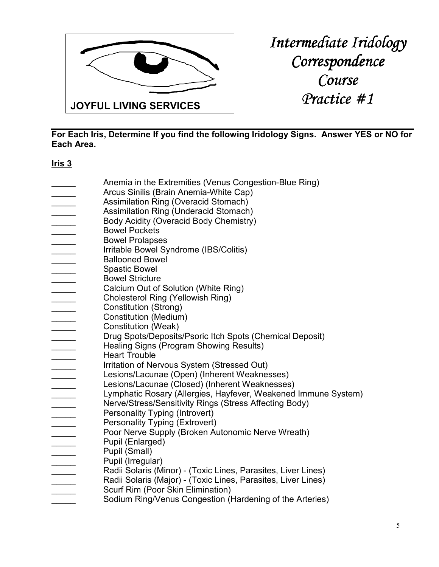

**For Each Iris, Determine If you find the following Iridology Signs. Answer YES or NO for Each Area.** 

# **Iris 3**

Anemia in the Extremities (Venus Congestion-Blue Ring) Arcus Sinilis (Brain Anemia-White Cap) Assimilation Ring (Overacid Stomach) Assimilation Ring (Underacid Stomach) Body Acidity (Overacid Body Chemistry) \_\_\_\_\_ Bowel Pockets \_\_\_\_\_ Bowel Prolapses Irritable Bowel Syndrome (IBS/Colitis) \_\_\_\_\_ Ballooned Bowel Spastic Bowel **Example 3** Bowel Stricture Calcium Out of Solution (White Ring) \_\_\_\_\_ Cholesterol Ring (Yellowish Ring) Constitution (Strong) \_\_\_\_\_ Constitution (Medium) Constitution (Weak) Drug Spots/Deposits/Psoric Itch Spots (Chemical Deposit) Healing Signs (Program Showing Results) Heart Trouble Irritation of Nervous System (Stressed Out) Lesions/Lacunae (Open) (Inherent Weaknesses) Lesions/Lacunae (Closed) (Inherent Weaknesses) Lymphatic Rosary (Allergies, Hayfever, Weakened Immune System) Nerve/Stress/Sensitivity Rings (Stress Affecting Body) Personality Typing (Introvert) Personality Typing (Extrovert) Poor Nerve Supply (Broken Autonomic Nerve Wreath) Pupil (Enlarged) Pupil (Small) Pupil (Irregular) Radii Solaris (Minor) - (Toxic Lines, Parasites, Liver Lines) Radii Solaris (Major) - (Toxic Lines, Parasites, Liver Lines) Scurf Rim (Poor Skin Elimination) Sodium Ring/Venus Congestion (Hardening of the Arteries)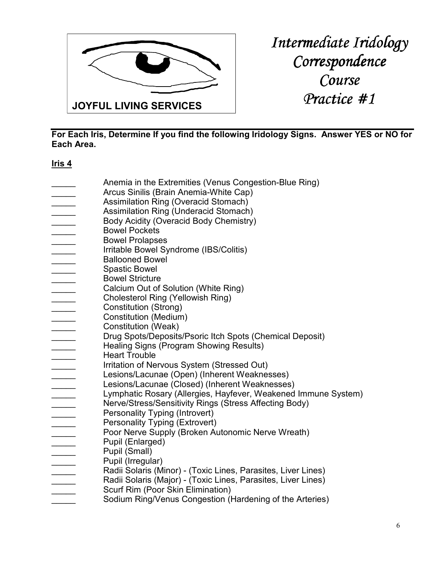

**For Each Iris, Determine If you find the following Iridology Signs. Answer YES or NO for Each Area.** 

# **Iris 4**

Anemia in the Extremities (Venus Congestion-Blue Ring) Arcus Sinilis (Brain Anemia-White Cap) Assimilation Ring (Overacid Stomach) Assimilation Ring (Underacid Stomach) Body Acidity (Overacid Body Chemistry) \_\_\_\_\_ Bowel Pockets \_\_\_\_\_ Bowel Prolapses Irritable Bowel Syndrome (IBS/Colitis) \_\_\_\_\_ Ballooned Bowel \_\_\_\_\_ Spastic Bowel **Example 3** Bowel Stricture Calcium Out of Solution (White Ring) \_\_\_\_\_ Cholesterol Ring (Yellowish Ring) Constitution (Strong) \_\_\_\_\_ Constitution (Medium) Constitution (Weak) Drug Spots/Deposits/Psoric Itch Spots (Chemical Deposit) Healing Signs (Program Showing Results) Heart Trouble Irritation of Nervous System (Stressed Out) Lesions/Lacunae (Open) (Inherent Weaknesses) Lesions/Lacunae (Closed) (Inherent Weaknesses) Lymphatic Rosary (Allergies, Hayfever, Weakened Immune System) Nerve/Stress/Sensitivity Rings (Stress Affecting Body) Personality Typing (Introvert) Personality Typing (Extrovert) Poor Nerve Supply (Broken Autonomic Nerve Wreath) Pupil (Enlarged) Pupil (Small) Pupil (Irregular) Radii Solaris (Minor) - (Toxic Lines, Parasites, Liver Lines) Radii Solaris (Major) - (Toxic Lines, Parasites, Liver Lines) Scurf Rim (Poor Skin Elimination) Sodium Ring/Venus Congestion (Hardening of the Arteries)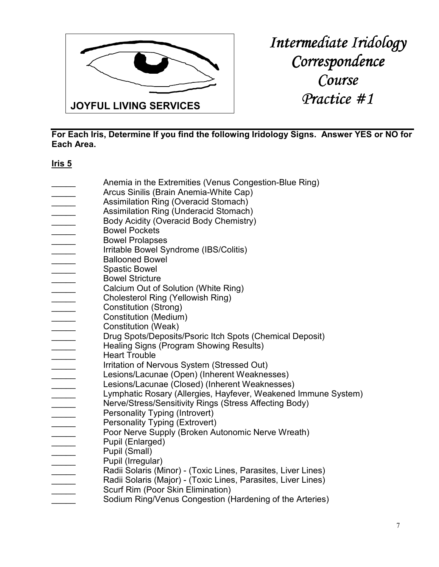

**For Each Iris, Determine If you find the following Iridology Signs. Answer YES or NO for Each Area.** 

# **Iris 5**

Anemia in the Extremities (Venus Congestion-Blue Ring) Arcus Sinilis (Brain Anemia-White Cap) Assimilation Ring (Overacid Stomach) Assimilation Ring (Underacid Stomach) Body Acidity (Overacid Body Chemistry) \_\_\_\_\_ Bowel Pockets \_\_\_\_\_ Bowel Prolapses Irritable Bowel Syndrome (IBS/Colitis) \_\_\_\_\_ Ballooned Bowel Spastic Bowel **Example 3** Bowel Stricture Calcium Out of Solution (White Ring) \_\_\_\_\_ Cholesterol Ring (Yellowish Ring) Constitution (Strong) \_\_\_\_\_ Constitution (Medium) Constitution (Weak) Drug Spots/Deposits/Psoric Itch Spots (Chemical Deposit) Healing Signs (Program Showing Results) Heart Trouble Irritation of Nervous System (Stressed Out) Lesions/Lacunae (Open) (Inherent Weaknesses) Lesions/Lacunae (Closed) (Inherent Weaknesses) Lymphatic Rosary (Allergies, Hayfever, Weakened Immune System) Nerve/Stress/Sensitivity Rings (Stress Affecting Body) Personality Typing (Introvert) Personality Typing (Extrovert) Poor Nerve Supply (Broken Autonomic Nerve Wreath) Pupil (Enlarged) Pupil (Small) Pupil (Irregular) Radii Solaris (Minor) - (Toxic Lines, Parasites, Liver Lines) Radii Solaris (Major) - (Toxic Lines, Parasites, Liver Lines) Scurf Rim (Poor Skin Elimination) Sodium Ring/Venus Congestion (Hardening of the Arteries)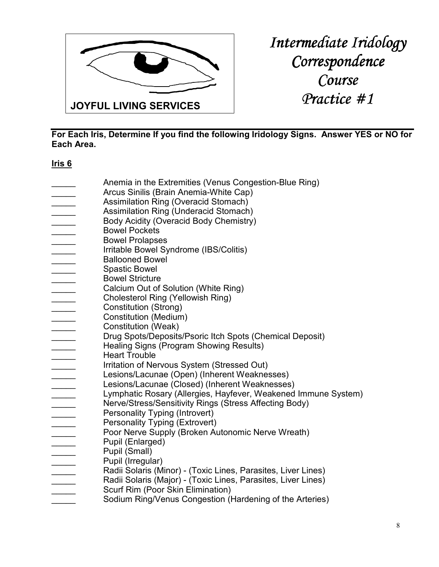

**For Each Iris, Determine If you find the following Iridology Signs. Answer YES or NO for Each Area.** 

# **Iris 6**

Anemia in the Extremities (Venus Congestion-Blue Ring) Arcus Sinilis (Brain Anemia-White Cap) Assimilation Ring (Overacid Stomach) Assimilation Ring (Underacid Stomach) Body Acidity (Overacid Body Chemistry) \_\_\_\_\_ Bowel Pockets \_\_\_\_\_ Bowel Prolapses Irritable Bowel Syndrome (IBS/Colitis) \_\_\_\_\_ Ballooned Bowel Spastic Bowel **Example 3** Bowel Stricture Calcium Out of Solution (White Ring) \_\_\_\_\_ Cholesterol Ring (Yellowish Ring) Constitution (Strong) \_\_\_\_\_ Constitution (Medium) Constitution (Weak) Drug Spots/Deposits/Psoric Itch Spots (Chemical Deposit) Healing Signs (Program Showing Results) Heart Trouble Irritation of Nervous System (Stressed Out) Lesions/Lacunae (Open) (Inherent Weaknesses) Lesions/Lacunae (Closed) (Inherent Weaknesses) Lymphatic Rosary (Allergies, Hayfever, Weakened Immune System) Nerve/Stress/Sensitivity Rings (Stress Affecting Body) Personality Typing (Introvert) Personality Typing (Extrovert) Poor Nerve Supply (Broken Autonomic Nerve Wreath) Pupil (Enlarged) Pupil (Small) Pupil (Irregular) Radii Solaris (Minor) - (Toxic Lines, Parasites, Liver Lines) Radii Solaris (Major) - (Toxic Lines, Parasites, Liver Lines) Scurf Rim (Poor Skin Elimination) Sodium Ring/Venus Congestion (Hardening of the Arteries)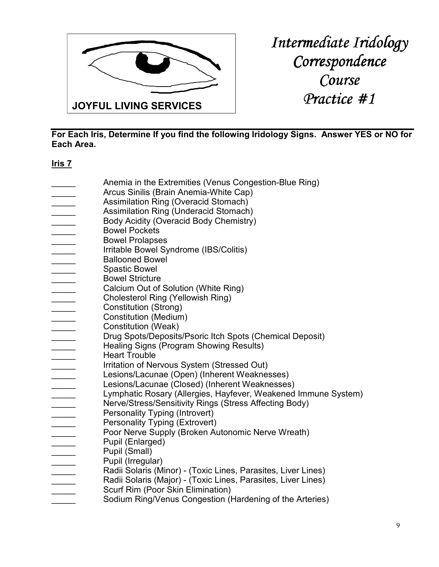

**For Each Iris, Determine If you find the following Iridology Signs. Answer YES or NO for Each Area.** 

# **Iris 7**

Anemia in the Extremities (Venus Congestion-Blue Ring) Arcus Sinilis (Brain Anemia-White Cap) Assimilation Ring (Overacid Stomach) Assimilation Ring (Underacid Stomach) Body Acidity (Overacid Body Chemistry) \_\_\_\_\_ Bowel Pockets \_\_\_\_\_ Bowel Prolapses Irritable Bowel Syndrome (IBS/Colitis) \_\_\_\_\_ Ballooned Bowel \_\_\_\_\_ Spastic Bowel **Example 3** Bowel Stricture Calcium Out of Solution (White Ring) \_\_\_\_\_ Cholesterol Ring (Yellowish Ring) Constitution (Strong) \_\_\_\_\_ Constitution (Medium) Constitution (Weak) Drug Spots/Deposits/Psoric Itch Spots (Chemical Deposit) Healing Signs (Program Showing Results) Heart Trouble Irritation of Nervous System (Stressed Out) Lesions/Lacunae (Open) (Inherent Weaknesses) Lesions/Lacunae (Closed) (Inherent Weaknesses) Lymphatic Rosary (Allergies, Hayfever, Weakened Immune System) Nerve/Stress/Sensitivity Rings (Stress Affecting Body) Personality Typing (Introvert) Personality Typing (Extrovert) Poor Nerve Supply (Broken Autonomic Nerve Wreath) Pupil (Enlarged) Pupil (Small) Pupil (Irregular) Radii Solaris (Minor) - (Toxic Lines, Parasites, Liver Lines) Radii Solaris (Major) - (Toxic Lines, Parasites, Liver Lines) Scurf Rim (Poor Skin Elimination) Sodium Ring/Venus Congestion (Hardening of the Arteries)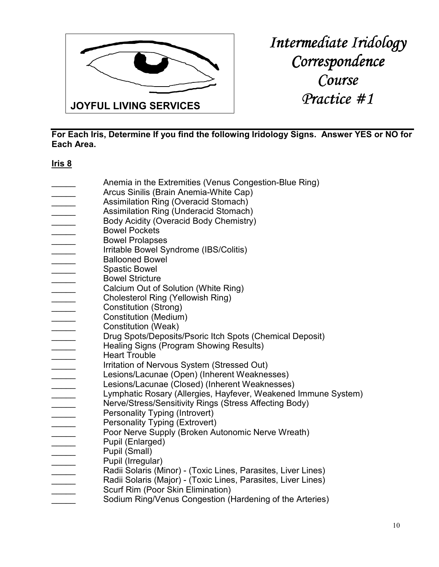

**For Each Iris, Determine If you find the following Iridology Signs. Answer YES or NO for Each Area.** 

# **Iris 8**

Anemia in the Extremities (Venus Congestion-Blue Ring) Arcus Sinilis (Brain Anemia-White Cap) Assimilation Ring (Overacid Stomach) Assimilation Ring (Underacid Stomach) Body Acidity (Overacid Body Chemistry) \_\_\_\_\_ Bowel Pockets \_\_\_\_\_ Bowel Prolapses Irritable Bowel Syndrome (IBS/Colitis) \_\_\_\_\_ Ballooned Bowel Spastic Bowel **EXECUTE:** Bowel Stricture Calcium Out of Solution (White Ring) \_\_\_\_\_ Cholesterol Ring (Yellowish Ring) Constitution (Strong) \_\_\_\_\_ Constitution (Medium) Constitution (Weak) Drug Spots/Deposits/Psoric Itch Spots (Chemical Deposit) Healing Signs (Program Showing Results) Heart Trouble Irritation of Nervous System (Stressed Out) Lesions/Lacunae (Open) (Inherent Weaknesses) Lesions/Lacunae (Closed) (Inherent Weaknesses) Lymphatic Rosary (Allergies, Hayfever, Weakened Immune System) Nerve/Stress/Sensitivity Rings (Stress Affecting Body) Personality Typing (Introvert) Personality Typing (Extrovert) Poor Nerve Supply (Broken Autonomic Nerve Wreath) Pupil (Enlarged) Pupil (Small) Pupil (Irregular) Radii Solaris (Minor) - (Toxic Lines, Parasites, Liver Lines) Radii Solaris (Major) - (Toxic Lines, Parasites, Liver Lines) Scurf Rim (Poor Skin Elimination) Sodium Ring/Venus Congestion (Hardening of the Arteries)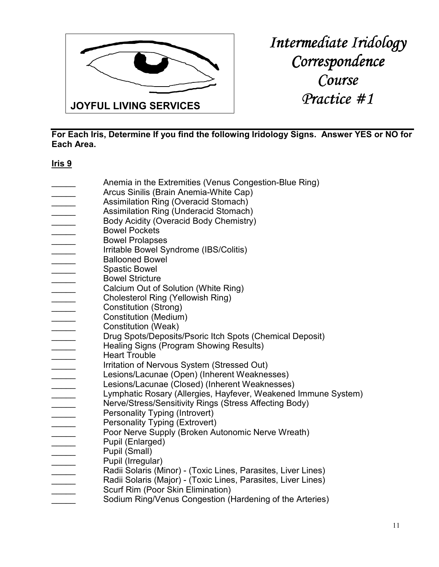

**For Each Iris, Determine If you find the following Iridology Signs. Answer YES or NO for Each Area.** 

# **Iris 9**

Anemia in the Extremities (Venus Congestion-Blue Ring) Arcus Sinilis (Brain Anemia-White Cap) Assimilation Ring (Overacid Stomach) Assimilation Ring (Underacid Stomach) Body Acidity (Overacid Body Chemistry) \_\_\_\_\_ Bowel Pockets \_\_\_\_\_ Bowel Prolapses Irritable Bowel Syndrome (IBS/Colitis) \_\_\_\_\_ Ballooned Bowel \_\_\_\_\_ Spastic Bowel **EXECUTE:** Bowel Stricture Calcium Out of Solution (White Ring) \_\_\_\_\_ Cholesterol Ring (Yellowish Ring) Constitution (Strong) \_\_\_\_\_ Constitution (Medium) Constitution (Weak) Drug Spots/Deposits/Psoric Itch Spots (Chemical Deposit) Healing Signs (Program Showing Results) Heart Trouble Irritation of Nervous System (Stressed Out) Lesions/Lacunae (Open) (Inherent Weaknesses) Lesions/Lacunae (Closed) (Inherent Weaknesses) Lymphatic Rosary (Allergies, Hayfever, Weakened Immune System) Nerve/Stress/Sensitivity Rings (Stress Affecting Body) Personality Typing (Introvert) Personality Typing (Extrovert) Poor Nerve Supply (Broken Autonomic Nerve Wreath) Pupil (Enlarged) Pupil (Small) Pupil (Irregular) Radii Solaris (Minor) - (Toxic Lines, Parasites, Liver Lines) Radii Solaris (Major) - (Toxic Lines, Parasites, Liver Lines) Scurf Rim (Poor Skin Elimination) Sodium Ring/Venus Congestion (Hardening of the Arteries)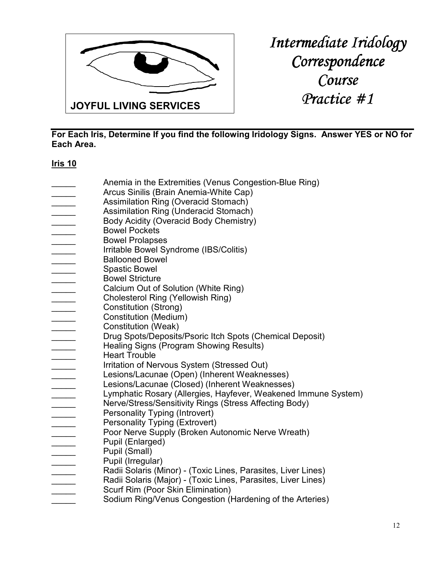

**For Each Iris, Determine If you find the following Iridology Signs. Answer YES or NO for Each Area.** 

# **Iris 10**

- Anemia in the Extremities (Venus Congestion-Blue Ring) Arcus Sinilis (Brain Anemia-White Cap) Assimilation Ring (Overacid Stomach) Assimilation Ring (Underacid Stomach) Body Acidity (Overacid Body Chemistry) \_\_\_\_\_ Bowel Pockets \_\_\_\_\_ Bowel Prolapses Irritable Bowel Syndrome (IBS/Colitis) \_\_\_\_\_ Ballooned Bowel \_\_\_\_\_ Spastic Bowel **EXECUTE:** Bowel Stricture Calcium Out of Solution (White Ring) \_\_\_\_\_ Cholesterol Ring (Yellowish Ring) Constitution (Strong) \_\_\_\_\_ Constitution (Medium) Constitution (Weak) Drug Spots/Deposits/Psoric Itch Spots (Chemical Deposit) Healing Signs (Program Showing Results) Heart Trouble Irritation of Nervous System (Stressed Out) Lesions/Lacunae (Open) (Inherent Weaknesses) Lesions/Lacunae (Closed) (Inherent Weaknesses) Lymphatic Rosary (Allergies, Hayfever, Weakened Immune System) Nerve/Stress/Sensitivity Rings (Stress Affecting Body)
- Personality Typing (Introvert)
- Personality Typing (Extrovert)
- Poor Nerve Supply (Broken Autonomic Nerve Wreath)
	- Pupil (Enlarged)
- Pupil (Small)
- Pupil (Irregular)
- Radii Solaris (Minor) (Toxic Lines, Parasites, Liver Lines)
- Radii Solaris (Major) (Toxic Lines, Parasites, Liver Lines)
- Scurf Rim (Poor Skin Elimination)
- Sodium Ring/Venus Congestion (Hardening of the Arteries)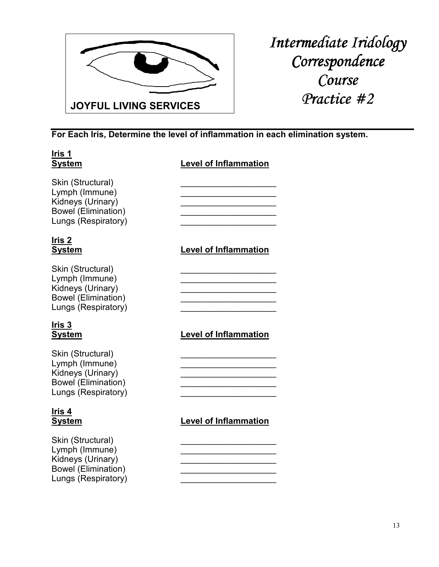

**For Each Iris, Determine the level of inflammation in each elimination system.** 

| Iris 1<br><u>System</u>                                                                                       | <b>Level of Inflammation</b> |
|---------------------------------------------------------------------------------------------------------------|------------------------------|
| Skin (Structural)<br>Lymph (Immune)<br>Kidneys (Urinary)<br><b>Bowel (Elimination)</b><br>Lungs (Respiratory) |                              |
| Iris 2<br><u>System</u>                                                                                       | <b>Level of Inflammation</b> |
| Skin (Structural)<br>Lymph (Immune)<br>Kidneys (Urinary)<br><b>Bowel (Elimination)</b><br>Lungs (Respiratory) |                              |
| Iris 3<br><u>System</u>                                                                                       | <b>Level of Inflammation</b> |
| Skin (Structural)<br>Lymph (Immune)<br>Kidneys (Urinary)<br><b>Bowel (Elimination)</b><br>Lungs (Respiratory) |                              |
| lris <u>4</u><br><b>System</b>                                                                                | <b>Level of Inflammation</b> |
| Skin (Structural)<br>Lymph (Immune)<br>Kidneys (Urinary)<br><b>Bowel (Elimination)</b><br>Lungs (Respiratory) |                              |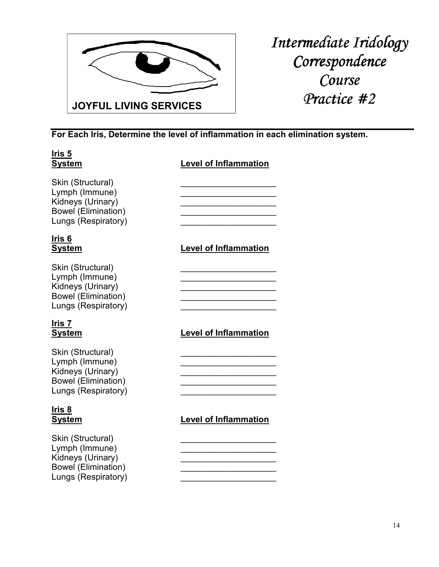

**For Each Iris, Determine the level of inflammation in each elimination system.** 

| Ir <u>is 5</u><br><b>System</b>                                                                               | <b>Level of Inflammation</b> |
|---------------------------------------------------------------------------------------------------------------|------------------------------|
| Skin (Structural)<br>Lymph (Immune)<br>Kidneys (Urinary)<br><b>Bowel (Elimination)</b><br>Lungs (Respiratory) |                              |
| Iris 6<br><u>System</u>                                                                                       | <b>Level of Inflammation</b> |
| Skin (Structural)<br>Lymph (Immune)<br>Kidneys (Urinary)<br><b>Bowel (Elimination)</b><br>Lungs (Respiratory) |                              |
| Iris 7<br><b>System</b>                                                                                       | <b>Level of Inflammation</b> |
| Skin (Structural)<br>Lymph (Immune)<br>Kidneys (Urinary)<br><b>Bowel (Elimination)</b><br>Lungs (Respiratory) |                              |
| Iris <u> 8</u><br><b>System</b>                                                                               | <b>Level of Inflammation</b> |
| Skin (Structural)<br>Lymph (Immune)<br>Kidneys (Urinary)<br><b>Bowel (Elimination)</b><br>Lungs (Respiratory) |                              |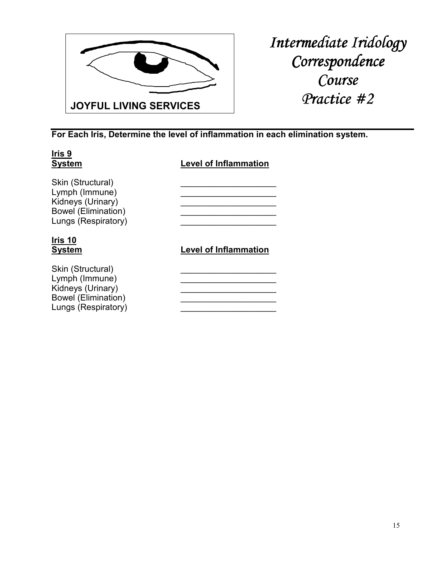

**For Each Iris, Determine the level of inflammation in each elimination system.** 

| Iris 9<br><b>System</b>                                                                                       | <b>Level of Inflammation</b> |
|---------------------------------------------------------------------------------------------------------------|------------------------------|
| Skin (Structural)<br>Lymph (Immune)<br>Kidneys (Urinary)<br><b>Bowel (Elimination)</b><br>Lungs (Respiratory) |                              |
| Iris 10<br><b>System</b>                                                                                      | <b>Level of Inflammation</b> |
| Skin (Structural)<br>Lymph (Immune)<br>Kidneys (Urinary)<br><b>Bowel (Elimination)</b><br>Lungs (Respiratory) |                              |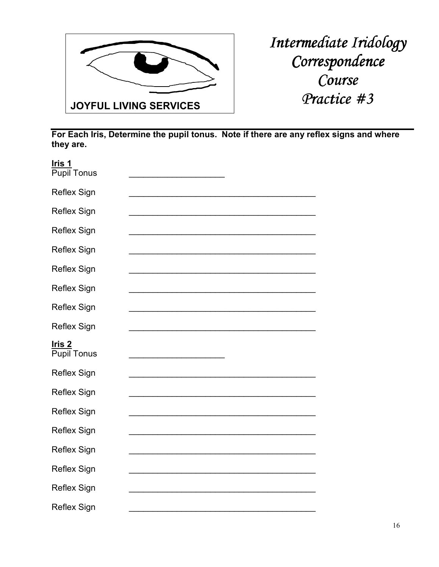

| <u>Iris 1</u><br><b>Pupil Tonus</b> |  |
|-------------------------------------|--|
| <b>Reflex Sign</b>                  |  |
| <b>Reflex Sign</b>                  |  |
| <b>Reflex Sign</b>                  |  |
| <b>Reflex Sign</b>                  |  |
| <b>Reflex Sign</b>                  |  |
| <b>Reflex Sign</b>                  |  |
| <b>Reflex Sign</b>                  |  |
| <b>Reflex Sign</b>                  |  |
|                                     |  |
| <u>Iris 2</u><br><b>Pupil Tonus</b> |  |
| <b>Reflex Sign</b>                  |  |
| <b>Reflex Sign</b>                  |  |
| <b>Reflex Sign</b>                  |  |
| <b>Reflex Sign</b>                  |  |
| Reflex Sign                         |  |
| Reflex Sign                         |  |
| <b>Reflex Sign</b>                  |  |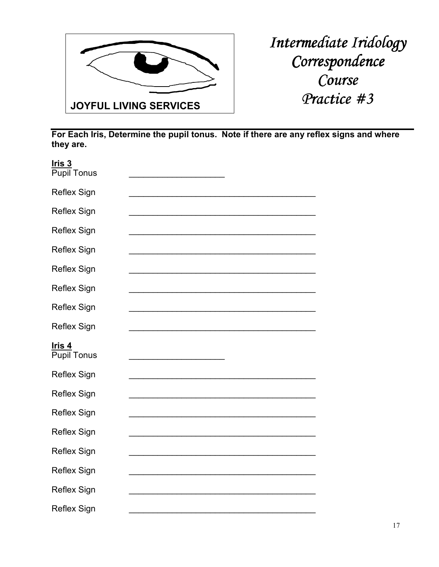

| <u>Iris 3</u><br><b>Pupil Tonus</b> |  |
|-------------------------------------|--|
| Reflex Sign                         |  |
| <b>Reflex Sign</b>                  |  |
| <b>Reflex Sign</b>                  |  |
| <b>Reflex Sign</b>                  |  |
| <b>Reflex Sign</b>                  |  |
| <b>Reflex Sign</b>                  |  |
| <b>Reflex Sign</b>                  |  |
| <b>Reflex Sign</b>                  |  |
|                                     |  |
| Iris 4<br><b>Pupil Tonus</b>        |  |
| Reflex Sign                         |  |
| <b>Reflex Sign</b>                  |  |
| <b>Reflex Sign</b>                  |  |
| <b>Reflex Sign</b>                  |  |
| <b>Reflex Sign</b>                  |  |
| <b>Reflex Sign</b>                  |  |
| <b>Reflex Sign</b>                  |  |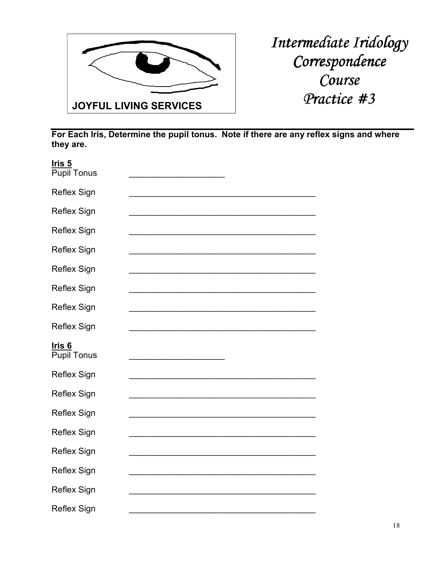

| <u>Iris 5</u><br><b>Pupil Tonus</b> |  |
|-------------------------------------|--|
| <b>Reflex Sign</b>                  |  |
| <b>Reflex Sign</b>                  |  |
| <b>Reflex Sign</b>                  |  |
| <b>Reflex Sign</b>                  |  |
| <b>Reflex Sign</b>                  |  |
| <b>Reflex Sign</b>                  |  |
| <b>Reflex Sign</b>                  |  |
| <b>Reflex Sign</b>                  |  |
|                                     |  |
| <u>Iris 6</u><br><b>Pupil Tonus</b> |  |
| Reflex Sign                         |  |
| <b>Reflex Sign</b>                  |  |
| <b>Reflex Sign</b>                  |  |
| <b>Reflex Sign</b>                  |  |
| <b>Reflex Sign</b>                  |  |
| <b>Reflex Sign</b>                  |  |
| <b>Reflex Sign</b>                  |  |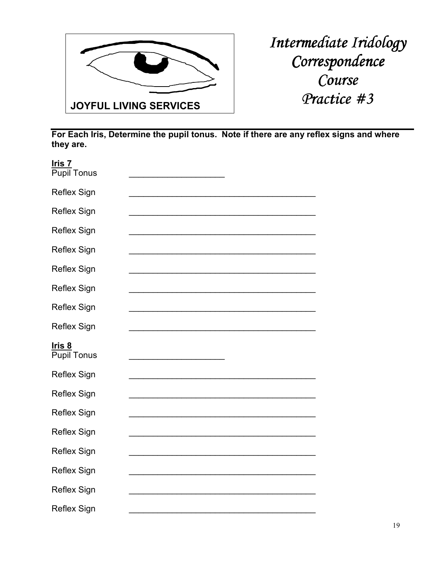

| <u>Iris 7</u><br><b>Pupil Tonus</b> |  |
|-------------------------------------|--|
| <b>Reflex Sign</b>                  |  |
| <b>Reflex Sign</b>                  |  |
| <b>Reflex Sign</b>                  |  |
| <b>Reflex Sign</b>                  |  |
| <b>Reflex Sign</b>                  |  |
| <b>Reflex Sign</b>                  |  |
| <b>Reflex Sign</b>                  |  |
| <b>Reflex Sign</b>                  |  |
|                                     |  |
| <u>Iris 8</u><br><b>Pupil Tonus</b> |  |
| Reflex Sign                         |  |
| <b>Reflex Sign</b>                  |  |
| <b>Reflex Sign</b>                  |  |
| <b>Reflex Sign</b>                  |  |
| <b>Reflex Sign</b>                  |  |
| <b>Reflex Sign</b>                  |  |
| <b>Reflex Sign</b>                  |  |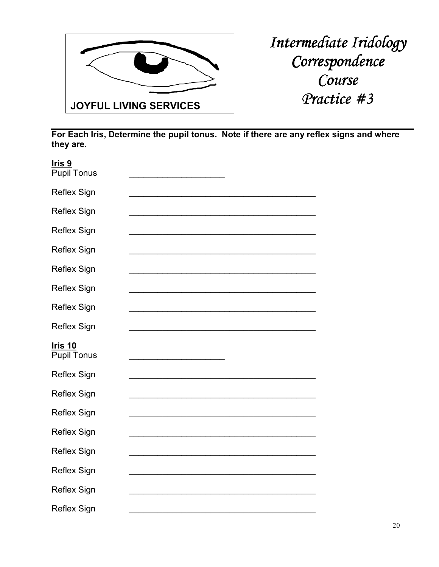

| Iris <sub>9</sub><br><b>Pupil Tonus</b> |  |
|-----------------------------------------|--|
| <b>Reflex Sign</b>                      |  |
| <b>Reflex Sign</b>                      |  |
| <b>Reflex Sign</b>                      |  |
| <b>Reflex Sign</b>                      |  |
| <b>Reflex Sign</b>                      |  |
| <b>Reflex Sign</b>                      |  |
| <b>Reflex Sign</b>                      |  |
| <b>Reflex Sign</b>                      |  |
|                                         |  |
| <u>Iris 10</u><br><b>Pupil Tonus</b>    |  |
| <b>Reflex Sign</b>                      |  |
| <b>Reflex Sign</b>                      |  |
| <b>Reflex Sign</b>                      |  |
| <b>Reflex Sign</b>                      |  |
| <b>Reflex Sign</b>                      |  |
| Reflex Sign                             |  |
| Reflex Sign                             |  |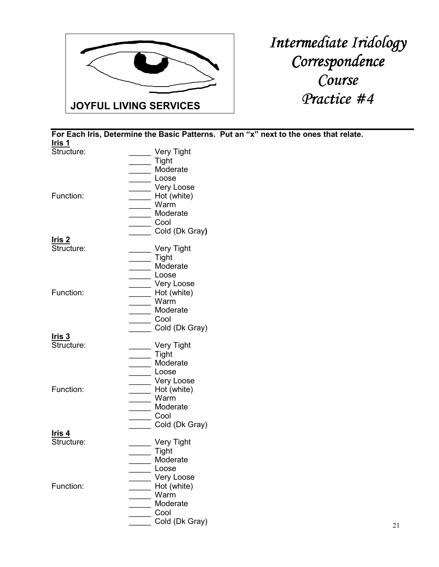

**For Each Iris, Determine the Basic Patterns. Put an "x" next to the ones that relate. Iris 1** Very Tight \_\_\_\_\_ Tight Moderate \_\_\_\_\_ Loose \_\_\_\_\_ Very Loose Function: The Hot (white) \_\_\_\_\_ Warm \_\_\_\_\_ Moderate \_\_\_\_\_ Cool \_\_\_\_\_ Cold (Dk Gray**) Iris 2** Laster Very Tight \_\_\_\_\_ Tight \_\_\_\_\_ Moderate \_\_\_\_\_ Loose Function: The Contraction Contraction Contraction Contraction Contraction Contract Very Loose  $\overline{\phantom{a}}$  Hot (white) \_\_\_\_\_ Warm \_\_\_\_\_ Moderate  $\overline{\phantom{0}}$  Cool Cold (Dk Gray) **Iris 3** \_ Very Tight \_\_\_\_\_ Tight \_\_\_\_\_ Moderate \_\_\_\_\_ Loose Function: The Contraction Contraction Contraction Contraction Contraction Contract Very Loose Hot (white) \_\_\_\_\_ Warm \_\_\_\_\_ Moderate  $\overline{\phantom{0}}$  Cool \_\_\_\_\_ Cold (Dk Gray) **Iris 4** Structure: \_\_\_\_\_\_\_\_\_\_\_\_\_ Very Tight \_\_\_\_\_ Tight **Moderate**  \_\_\_\_\_ Loose Function: The Contraction Contraction Contraction Contraction Contraction Contract Very Loose Hot (white) \_\_\_\_\_ Warm \_\_\_\_\_ Moderate \_\_\_\_\_ Cool \_\_\_\_\_ Cold (Dk Gray)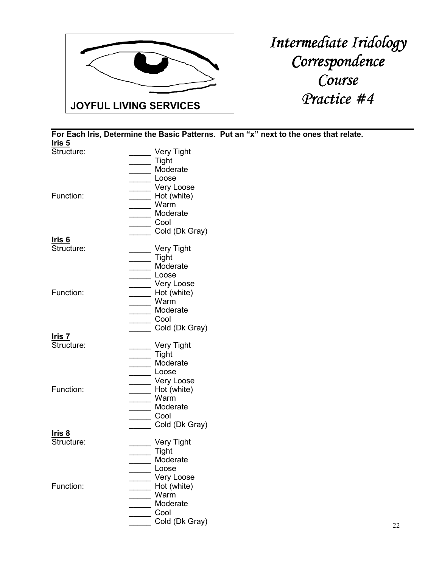

**Iris 5** Very Tight \_\_\_\_\_ Tight Moderate \_\_\_\_\_ Loose \_\_\_\_\_ Very Loose Function: The Hot (white) \_\_\_\_\_ Warm \_\_\_\_\_ Moderate \_\_\_\_\_ Cool Cold (Dk Gray) **Iris 6** Latter Very Tight \_\_\_\_\_ Tight \_\_\_\_\_ Moderate \_\_\_\_\_ Loose Function: The Contraction Contraction Contraction Contraction Contraction Contract Very Loose  $\overline{\phantom{a}}$  Hot (white) \_\_\_\_\_ Warm \_\_\_\_\_ Moderate  $\overline{\phantom{0}}$  Cool Cold (Dk Gray) **Iris 7** \_ Very Tight \_\_\_\_\_ Tight \_\_\_\_\_ Moderate \_\_\_\_\_ Loose Function: The Contraction Contraction Contraction Contraction Contraction Contract Very Loose Hot (white) \_\_\_\_\_ Warm \_\_\_\_\_ Moderate  $\overline{\phantom{0}}$  Cool \_\_\_\_\_ Cold (Dk Gray) **Iris 8** Structure: \_\_\_\_\_\_\_\_\_\_\_\_\_ Very Tight \_\_\_\_\_ Tight **Moderate**  \_\_\_\_\_ Loose Function: The Contraction Contraction Contraction Contraction Contraction Contract Very Loose Hot (white) \_\_\_\_\_ Warm \_\_\_\_\_ Moderate \_\_\_\_\_ Cool \_\_\_\_\_ Cold (Dk Gray)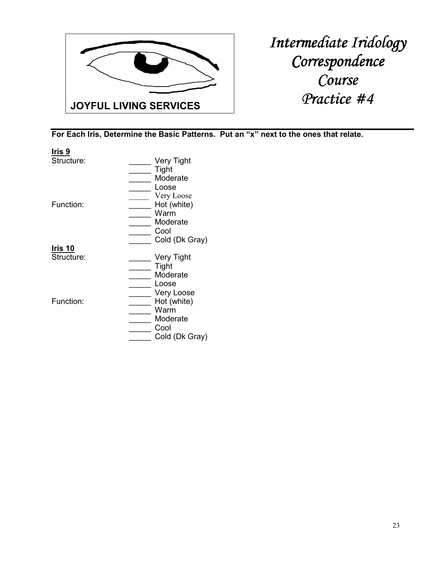

| Iris 9         |                   |
|----------------|-------------------|
| Structure:     | Very Tight        |
|                | Tight             |
|                | Moderate          |
|                | Loose             |
|                | Very Loose        |
| Function:      | Hot (white)       |
|                | Warm              |
|                | Moderate          |
|                | Cool              |
|                | Cold (Dk Gray)    |
| <u>Iris 10</u> |                   |
| Structure:     |                   |
|                | <b>Very Tight</b> |
|                | Tight             |
|                | Moderate          |
|                | Loose             |
|                | Very Loose        |
| Function:      | Hot (white)       |
|                | Warm              |
|                | Moderate          |
|                | Cool              |
|                | Cold (Dk Gray)    |
|                |                   |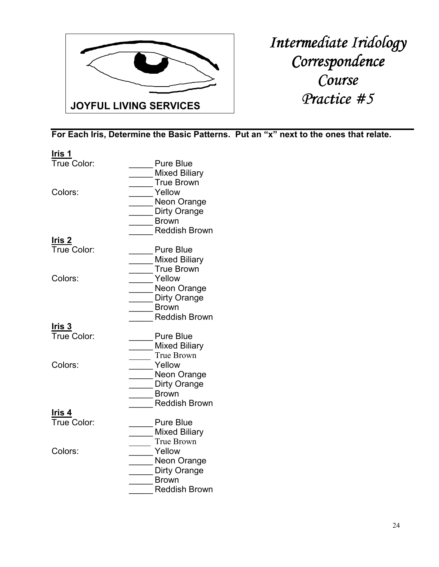

| Iris 1            |                      |
|-------------------|----------------------|
| True Color:       | <b>Pure Blue</b>     |
|                   | <b>Mixed Biliary</b> |
|                   | True Brown           |
| Colors:           | Yellow               |
|                   | Neon Orange          |
|                   | Dirty Orange         |
|                   | <b>Brown</b>         |
|                   | <b>Reddish Brown</b> |
| Iris 2            |                      |
| True Color:       | <b>Pure Blue</b>     |
|                   | <b>Mixed Biliary</b> |
|                   | <b>True Brown</b>    |
| Colors:           | Yellow               |
|                   | Neon Orange          |
|                   | Dirty Orange         |
|                   | <b>Brown</b>         |
|                   | <b>Reddish Brown</b> |
| Iris 3            |                      |
| True Color:       | <b>Pure Blue</b>     |
|                   | <b>Mixed Biliary</b> |
|                   | True Brown           |
| Colors:           | Yellow               |
|                   | Neon Orange          |
|                   | Dirty Orange         |
|                   | <b>Brown</b>         |
|                   | <b>Reddish Brown</b> |
| Iris <sub>4</sub> |                      |
| True Color:       | <b>Pure Blue</b>     |
|                   | <b>Mixed Biliary</b> |
|                   | True Brown           |
| Colors:           | Yellow               |
|                   | Neon Orange          |
|                   | Dirty Orange         |
|                   | <b>Brown</b>         |
|                   | <b>Reddish Brown</b> |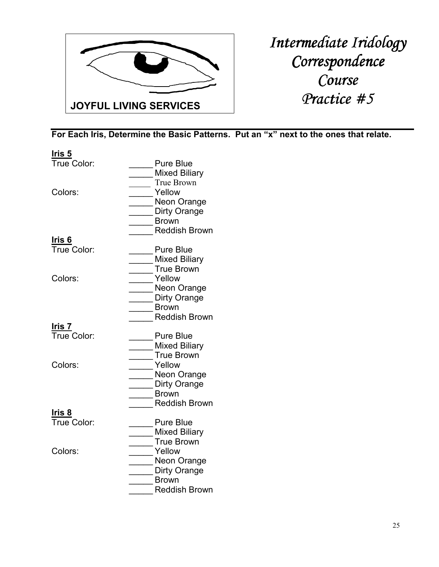

| <u>Iris 5</u>     |                                           |
|-------------------|-------------------------------------------|
| True Color:       | <b>Pure Blue</b><br><b>Mixed Biliary</b>  |
| Colors:           | True Brown<br>Yellow                      |
|                   | Neon Orange                               |
|                   | Dirty Orange                              |
|                   | <b>Brown</b><br><b>Reddish Brown</b>      |
| Iris <sub>6</sub> |                                           |
| True Color:       | <b>Pure Blue</b>                          |
|                   | <b>Mixed Biliary</b>                      |
|                   | <b>True Brown</b>                         |
| Colors:           | Yellow<br>Neon Orange                     |
|                   | Dirty Orange                              |
|                   | <b>Brown</b>                              |
|                   | <b>Reddish Brown</b>                      |
| Iris 7            |                                           |
| True Color:       | <b>Pure Blue</b>                          |
|                   | <b>Mixed Biliary</b><br><b>True Brown</b> |
| Colors:           | Yellow                                    |
|                   | Neon Orange                               |
|                   | Dirty Orange                              |
|                   | <b>Brown</b>                              |
|                   | <b>Reddish Brown</b>                      |
| Iris <sub>8</sub> |                                           |
| True Color:       | <b>Pure Blue</b>                          |
|                   | <b>Mixed Biliary</b><br>True Brown        |
| Colors:           | Yellow                                    |
|                   | Neon Orange                               |
|                   | Dirty Orange                              |
|                   | <b>Brown</b>                              |
|                   | <b>Reddish Brown</b>                      |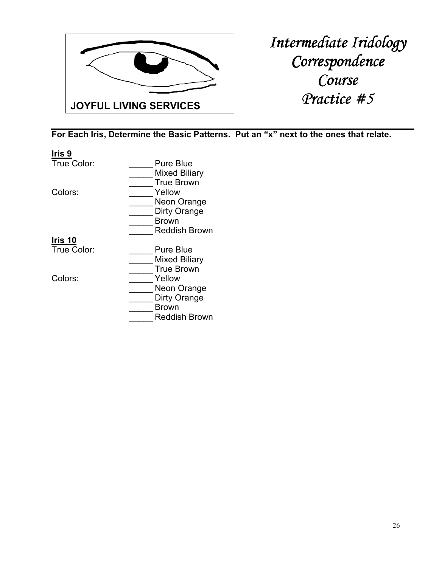

| Iris <sub>9</sub> |                      |
|-------------------|----------------------|
| True Color:       | Pure Blue            |
|                   | Mixed Biliary        |
|                   | <b>True Brown</b>    |
| Colors:           | Yellow               |
|                   | Neon Orange          |
|                   | Dirty Orange         |
|                   | Brown                |
|                   | <b>Reddish Brown</b> |
| Iris 10           |                      |
| True Color:       | Pure Blue            |
|                   | Mixed Biliary        |
|                   | <b>True Brown</b>    |
| Colors:           | Yellow               |
|                   | Neon Orange          |
|                   | Dirty Orange         |
|                   | Brown                |
|                   | <b>Reddish Brown</b> |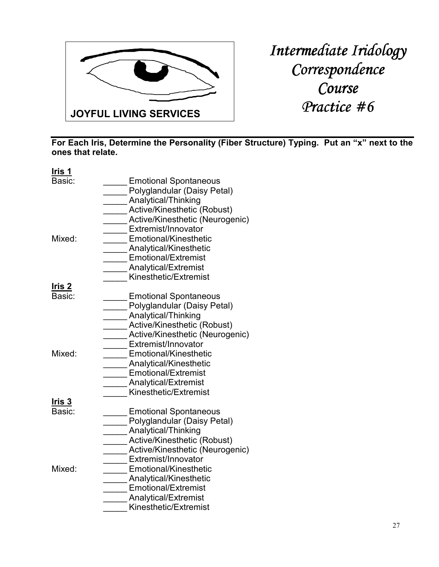

**For Each Iris, Determine the Personality (Fiber Structure) Typing. Put an "x" next to the ones that relate.** 

| I <u>ris 1</u>   |                                                                                                                                                                                                                                                       |
|------------------|-------------------------------------------------------------------------------------------------------------------------------------------------------------------------------------------------------------------------------------------------------|
| Basic:<br>Mixed: | <b>Emotional Spontaneous</b><br>Polyglandular (Daisy Petal)<br>Analytical/Thinking<br>Active/Kinesthetic (Robust)<br>Active/Kinesthetic (Neurogenic)<br>Extremist/Innovator<br>Emotional/Kinesthetic<br>Analytical/Kinesthetic<br>Emotional/Extremist |
|                  | Analytical/Extremist<br>Kinesthetic/Extremist                                                                                                                                                                                                         |
| <u> Iris 2</u>   |                                                                                                                                                                                                                                                       |
| Basic:           | <b>Emotional Spontaneous</b><br>Polyglandular (Daisy Petal)                                                                                                                                                                                           |
|                  | Analytical/Thinking<br>Active/Kinesthetic (Robust)                                                                                                                                                                                                    |
|                  | Active/Kinesthetic (Neurogenic)<br>Extremist/Innovator                                                                                                                                                                                                |
| Mixed:           | <b>Emotional/Kinesthetic</b>                                                                                                                                                                                                                          |
|                  | Analytical/Kinesthetic<br><b>Emotional/Extremist</b>                                                                                                                                                                                                  |
|                  | <b>Analytical/Extremist</b>                                                                                                                                                                                                                           |
|                  | Kinesthetic/Extremist                                                                                                                                                                                                                                 |
| Iris 3           |                                                                                                                                                                                                                                                       |
| Basic:           | <b>Emotional Spontaneous</b>                                                                                                                                                                                                                          |
|                  | Polyglandular (Daisy Petal)                                                                                                                                                                                                                           |
|                  | Analytical/Thinking                                                                                                                                                                                                                                   |
|                  | Active/Kinesthetic (Robust)                                                                                                                                                                                                                           |
|                  | Active/Kinesthetic (Neurogenic)                                                                                                                                                                                                                       |
|                  | Extremist/Innovator                                                                                                                                                                                                                                   |
| Mixed:           | Emotional/Kinesthetic                                                                                                                                                                                                                                 |
|                  | Analytical/Kinesthetic                                                                                                                                                                                                                                |
|                  | Emotional/Extremist                                                                                                                                                                                                                                   |
|                  | Analytical/Extremist                                                                                                                                                                                                                                  |
|                  | Kinesthetic/Extremist                                                                                                                                                                                                                                 |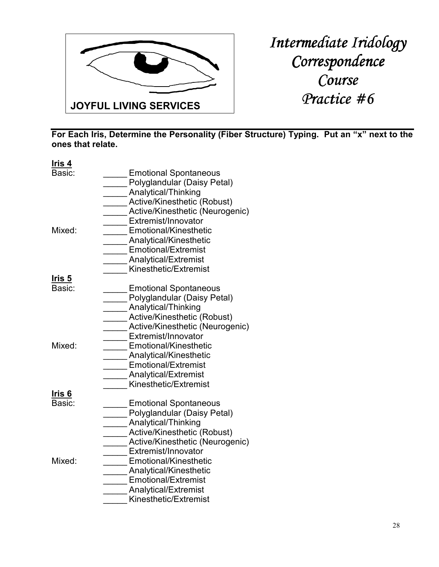

**For Each Iris, Determine the Personality (Fiber Structure) Typing. Put an "x" next to the ones that relate.** 

| Basic:<br><b>Emotional Spontaneous</b><br>Polyglandular (Daisy Petal)<br>Analytical/Thinking<br>Active/Kinesthetic (Robust)<br>Active/Kinesthetic (Neurogenic)<br>Extremist/Innovator                   |  |
|---------------------------------------------------------------------------------------------------------------------------------------------------------------------------------------------------------|--|
|                                                                                                                                                                                                         |  |
| Emotional/Kinesthetic<br>Mixed:<br><b>Analytical/Kinesthetic</b><br><b>Emotional/Extremist</b><br><b>Analytical/Extremist</b><br>Kinesthetic/Extremist                                                  |  |
| Iris 5<br>Basic:<br><b>Emotional Spontaneous</b><br>Polyglandular (Daisy Petal)<br>Analytical/Thinking<br>Active/Kinesthetic (Robust)<br>Active/Kinesthetic (Neurogenic)<br>Extremist/Innovator         |  |
| Emotional/Kinesthetic<br>Mixed:<br><b>Analytical/Kinesthetic</b><br><b>Emotional/Extremist</b><br><b>Analytical/Extremist</b><br>Kinesthetic/Extremist                                                  |  |
| Ir <u>is 6</u><br>Basic:<br><b>Emotional Spontaneous</b><br>Polyglandular (Daisy Petal)<br>Analytical/Thinking<br>Active/Kinesthetic (Robust)<br>Active/Kinesthetic (Neurogenic)<br>Extremist/Innovator |  |
| Mixed:<br>Emotional/Kinesthetic<br>Analytical/Kinesthetic<br><b>Emotional/Extremist</b><br><b>Analytical/Extremist</b><br>Kinesthetic/Extremist                                                         |  |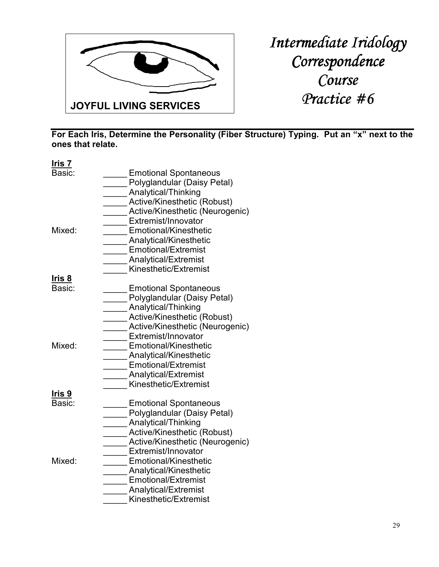

**For Each Iris, Determine the Personality (Fiber Structure) Typing. Put an "x" next to the ones that relate.**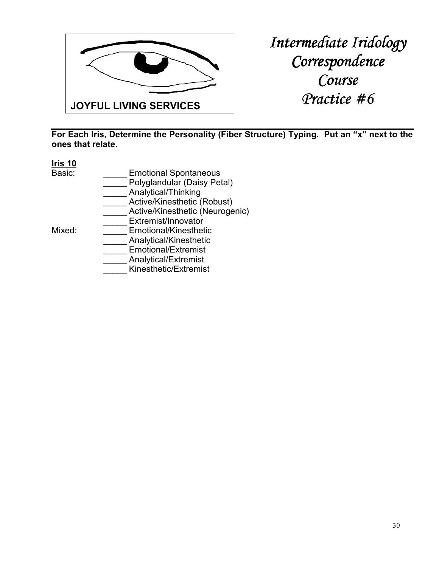

**For Each Iris, Determine the Personality (Fiber Structure) Typing. Put an "x" next to the ones that relate.** 

#### **Iris 10**

- Basic: **\_\_\_\_\_\_** Emotional Spontaneous
	- \_\_\_\_\_ Polyglandular (Daisy Petal)
	- Analytical/Thinking
	- Active/Kinesthetic (Robust)
	- Active/Kinesthetic (Neurogenic)
- Mixed: Extremist/Innovator<br>Emotional/Kinesthet Emotional/Kinesthetic

- \_\_\_\_\_ Analytical/Kinesthetic
- Emotional/Extremist
- \_\_\_\_\_ Analytical/Extremist
- \_\_\_\_\_ Kinesthetic/Extremist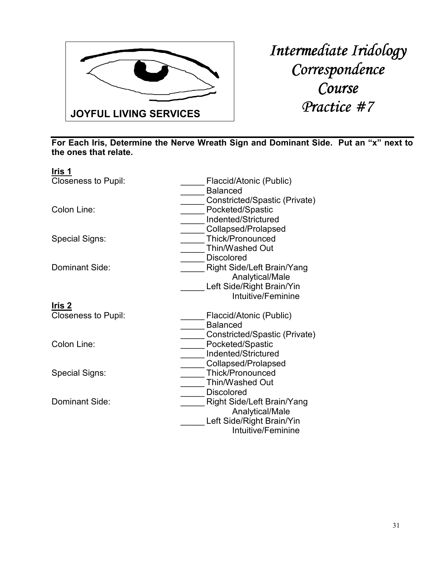

| Iris 1                     |                                   |
|----------------------------|-----------------------------------|
| <b>Closeness to Pupil:</b> | Flaccid/Atonic (Public)           |
|                            | <b>Balanced</b>                   |
|                            | Constricted/Spastic (Private)     |
| Colon Line:                | Pocketed/Spastic                  |
|                            | Indented/Strictured               |
|                            | Collapsed/Prolapsed               |
| Special Signs:             | Thick/Pronounced                  |
|                            | Thin/Washed Out                   |
|                            | <b>Discolored</b>                 |
| Dominant Side:             | <b>Right Side/Left Brain/Yang</b> |
|                            | Analytical/Male                   |
|                            | Left Side/Right Brain/Yin         |
|                            | Intuitive/Feminine                |
| <u>Iris 2</u>              |                                   |
| <b>Closeness to Pupil:</b> | Flaccid/Atonic (Public)           |
|                            | <b>Balanced</b>                   |
|                            | Constricted/Spastic (Private)     |
| Colon Line:                | Pocketed/Spastic                  |
|                            | Indented/Strictured               |
|                            | Collapsed/Prolapsed               |
| Special Signs:             | Thick/Pronounced                  |
|                            | Thin/Washed Out                   |
|                            | <b>Discolored</b>                 |
| Dominant Side:             | <b>Right Side/Left Brain/Yang</b> |
|                            | Analytical/Male                   |
|                            | Left Side/Right Brain/Yin         |
|                            | Intuitive/Feminine                |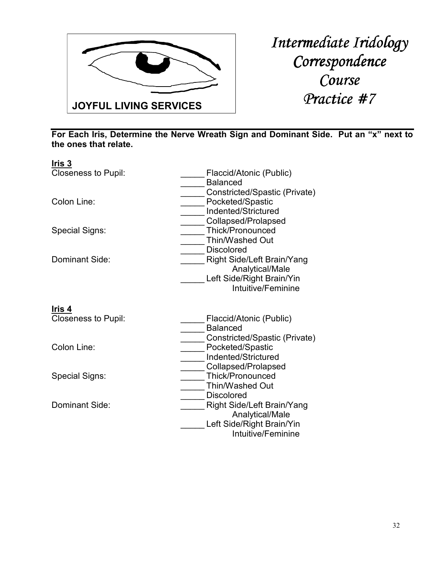

| Flaccid/Atonic (Public)<br><b>Balanced</b>                                                              |
|---------------------------------------------------------------------------------------------------------|
| Constricted/Spastic (Private)<br>Pocketed/Spastic<br>Indented/Strictured<br>Collapsed/Prolapsed         |
| Thick/Pronounced<br><b>Thin/Washed Out</b><br><b>Discolored</b>                                         |
| <b>Right Side/Left Brain/Yang</b><br>Analytical/Male<br>Left Side/Right Brain/Yin<br>Intuitive/Feminine |
|                                                                                                         |
| Flaccid/Atonic (Public)<br><b>Balanced</b>                                                              |
| Constricted/Spastic (Private)<br>Pocketed/Spastic<br>Indented/Strictured<br>Collapsed/Prolapsed         |
| <b>Thick/Pronounced</b><br>Thin/Washed Out<br><b>Discolored</b>                                         |
| Right Side/Left Brain/Yang<br>Analytical/Male<br>Left Side/Right Brain/Yin<br>Intuitive/Feminine        |
|                                                                                                         |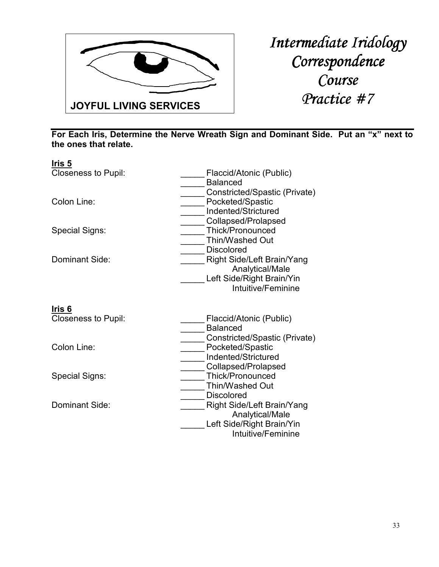

| <u>Iris 5</u>              |                                                                                                         |
|----------------------------|---------------------------------------------------------------------------------------------------------|
| <b>Closeness to Pupil:</b> | Flaccid/Atonic (Public)<br><b>Balanced</b>                                                              |
| Colon Line:                | Constricted/Spastic (Private)<br>Pocketed/Spastic<br>Indented/Strictured<br>Collapsed/Prolapsed         |
| Special Signs:             | <b>Thick/Pronounced</b><br>Thin/Washed Out<br><b>Discolored</b>                                         |
| Dominant Side:             | <b>Right Side/Left Brain/Yang</b><br>Analytical/Male<br>Left Side/Right Brain/Yin<br>Intuitive/Feminine |
| Iris 6                     |                                                                                                         |
| Closeness to Pupil:        | Flaccid/Atonic (Public)<br><b>Balanced</b><br>Constricted/Spastic (Private)                             |
| Colon Line:                | Pocketed/Spastic<br>Indented/Strictured<br>Collapsed/Prolapsed                                          |
| <b>Special Signs:</b>      | <b>Thick/Pronounced</b><br>Thin/Washed Out<br><b>Discolored</b>                                         |
| Dominant Side:             | <b>Right Side/Left Brain/Yang</b><br>Analytical/Male<br>Left Side/Right Brain/Yin<br>Intuitive/Feminine |
|                            |                                                                                                         |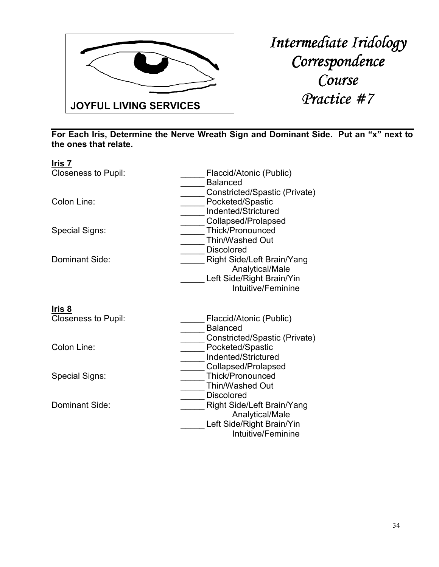

| <u>Iris 7</u>              |                                                                                                         |
|----------------------------|---------------------------------------------------------------------------------------------------------|
| <b>Closeness to Pupil:</b> | Flaccid/Atonic (Public)<br><b>Balanced</b>                                                              |
| Colon Line:                | Constricted/Spastic (Private)<br>Pocketed/Spastic<br>Indented/Strictured<br>Collapsed/Prolapsed         |
| Special Signs:             | Thick/Pronounced<br>Thin/Washed Out<br><b>Discolored</b>                                                |
| Dominant Side:             | Right Side/Left Brain/Yang<br>Analytical/Male<br>Left Side/Right Brain/Yin<br>Intuitive/Feminine        |
| Iris 8                     |                                                                                                         |
| <b>Closeness to Pupil:</b> | Flaccid/Atonic (Public)<br><b>Balanced</b><br>Constricted/Spastic (Private)                             |
| Colon Line:                | Pocketed/Spastic<br>Indented/Strictured<br>Collapsed/Prolapsed                                          |
| Special Signs:             | Thick/Pronounced<br>Thin/Washed Out<br><b>Discolored</b>                                                |
| Dominant Side:             | <b>Right Side/Left Brain/Yang</b><br>Analytical/Male<br>Left Side/Right Brain/Yin<br>Intuitive/Feminine |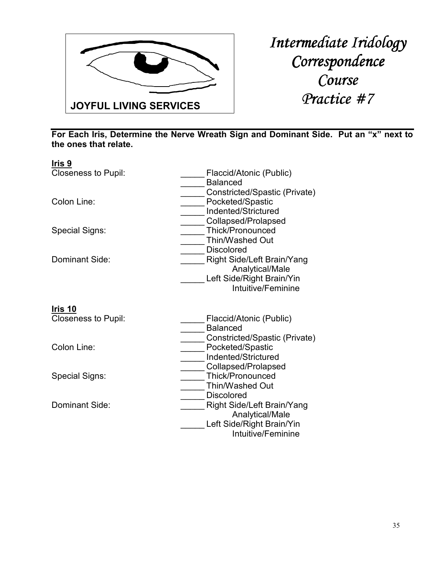

| Iris 9                     |                                                                                                         |
|----------------------------|---------------------------------------------------------------------------------------------------------|
| <b>Closeness to Pupil:</b> | Flaccid/Atonic (Public)<br><b>Balanced</b>                                                              |
| Colon Line:                | Constricted/Spastic (Private)<br>Pocketed/Spastic<br>Indented/Strictured<br>Collapsed/Prolapsed         |
| Special Signs:             | <b>Thick/Pronounced</b><br><b>Thin/Washed Out</b><br><b>Discolored</b>                                  |
| Dominant Side:             | <b>Right Side/Left Brain/Yang</b><br>Analytical/Male<br>Left Side/Right Brain/Yin<br>Intuitive/Feminine |
| Iris 10                    |                                                                                                         |
| <b>Closeness to Pupil:</b> | Flaccid/Atonic (Public)<br><b>Balanced</b>                                                              |
| Colon Line:                | Constricted/Spastic (Private)<br>Pocketed/Spastic<br>Indented/Strictured                                |
| Special Signs:             | Collapsed/Prolapsed<br>Thick/Pronounced<br><b>Thin/Washed Out</b>                                       |
| Dominant Side:             | <b>Discolored</b><br><b>Right Side/Left Brain/Yang</b><br>Analytical/Male<br>Left Side/Right Brain/Yin  |
|                            | Intuitive/Feminine                                                                                      |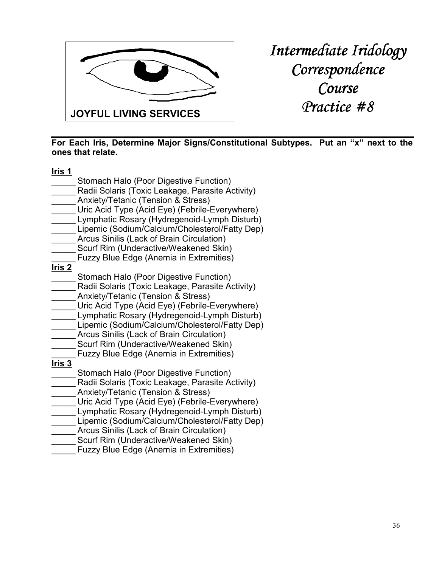

**For Each Iris, Determine Major Signs/Constitutional Subtypes. Put an "x" next to the ones that relate.** 

| <u>Iris 1</u> |                                                                                            |
|---------------|--------------------------------------------------------------------------------------------|
|               | Stomach Halo (Poor Digestive Function)                                                     |
|               | Radii Solaris (Toxic Leakage, Parasite Activity)                                           |
|               | Anxiety/Tetanic (Tension & Stress)                                                         |
|               | Uric Acid Type (Acid Eye) (Febrile-Everywhere)                                             |
|               | Lymphatic Rosary (Hydregenoid-Lymph Disturb)                                               |
|               | Lipemic (Sodium/Calcium/Cholesterol/Fatty Dep)                                             |
|               | Arcus Sinilis (Lack of Brain Circulation)                                                  |
|               | Scurf Rim (Underactive/Weakened Skin)                                                      |
|               | Fuzzy Blue Edge (Anemia in Extremities)                                                    |
| <u>Iris 2</u> |                                                                                            |
|               | Stomach Halo (Poor Digestive Function)<br>Radii Solaris (Toxic Leakage, Parasite Activity) |
|               | Anxiety/Tetanic (Tension & Stress)                                                         |
|               | Uric Acid Type (Acid Eye) (Febrile-Everywhere)                                             |
|               | Lymphatic Rosary (Hydregenoid-Lymph Disturb)                                               |
|               | Lipemic (Sodium/Calcium/Cholesterol/Fatty Dep)                                             |
|               | Arcus Sinilis (Lack of Brain Circulation)                                                  |
|               | Scurf Rim (Underactive/Weakened Skin)                                                      |
|               | <b>Fuzzy Blue Edge (Anemia in Extremities)</b>                                             |
| <u>Iris 3</u> |                                                                                            |
|               | Stomach Halo (Poor Digestive Function)                                                     |
|               | Radii Solaris (Toxic Leakage, Parasite Activity)                                           |
|               | Anxiety/Tetanic (Tension & Stress)                                                         |
|               | Uric Acid Type (Acid Eye) (Febrile-Everywhere)                                             |
|               | Lymphatic Rosary (Hydregenoid-Lymph Disturb)                                               |
|               | Lipemic (Sodium/Calcium/Cholesterol/Fatty Dep)                                             |
|               | Arcus Sinilis (Lack of Brain Circulation)                                                  |
|               | Scurf Rim (Underactive/Weakened Skin)                                                      |
|               | <b>Fuzzy Blue Edge (Anemia in Extremities)</b>                                             |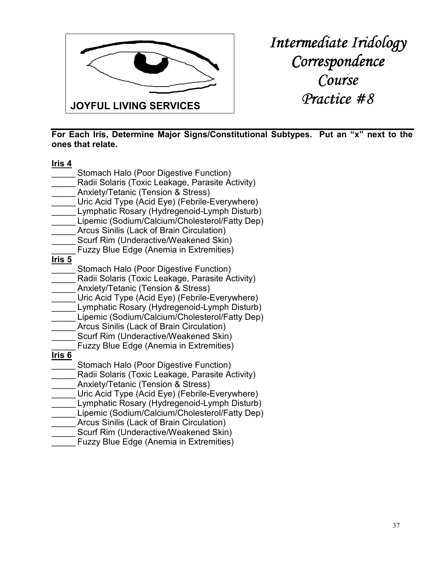

**For Each Iris, Determine Major Signs/Constitutional Subtypes. Put an "x" next to the ones that relate.** 

| <u>Iris 4</u>     |                                                  |
|-------------------|--------------------------------------------------|
|                   | Stomach Halo (Poor Digestive Function)           |
|                   | Radii Solaris (Toxic Leakage, Parasite Activity) |
|                   | Anxiety/Tetanic (Tension & Stress)               |
|                   | Uric Acid Type (Acid Eye) (Febrile-Everywhere)   |
|                   | Lymphatic Rosary (Hydregenoid-Lymph Disturb)     |
|                   | Lipemic (Sodium/Calcium/Cholesterol/Fatty Dep)   |
|                   | Arcus Sinilis (Lack of Brain Circulation)        |
|                   | Scurf Rim (Underactive/Weakened Skin)            |
|                   | <b>Fuzzy Blue Edge (Anemia in Extremities)</b>   |
| Iris <sub>5</sub> |                                                  |
|                   | Stomach Halo (Poor Digestive Function)           |
|                   | Radii Solaris (Toxic Leakage, Parasite Activity) |
|                   | Anxiety/Tetanic (Tension & Stress)               |
|                   | Uric Acid Type (Acid Eye) (Febrile-Everywhere)   |
|                   | Lymphatic Rosary (Hydregenoid-Lymph Disturb)     |
|                   | Lipemic (Sodium/Calcium/Cholesterol/Fatty Dep)   |
|                   | Arcus Sinilis (Lack of Brain Circulation)        |
|                   | Scurf Rim (Underactive/Weakened Skin)            |
|                   | <b>Fuzzy Blue Edge (Anemia in Extremities)</b>   |
| <u>Iris 6</u>     |                                                  |
|                   | Stomach Halo (Poor Digestive Function)           |
|                   | Radii Solaris (Toxic Leakage, Parasite Activity) |
|                   | Anxiety/Tetanic (Tension & Stress)               |
|                   | Uric Acid Type (Acid Eye) (Febrile-Everywhere)   |
|                   | Lymphatic Rosary (Hydregenoid-Lymph Disturb)     |
|                   | Lipemic (Sodium/Calcium/Cholesterol/Fatty Dep)   |
|                   | Arcus Sinilis (Lack of Brain Circulation)        |
|                   | Scurf Rim (Underactive/Weakened Skin)            |
|                   | <b>Fuzzy Blue Edge (Anemia in Extremities)</b>   |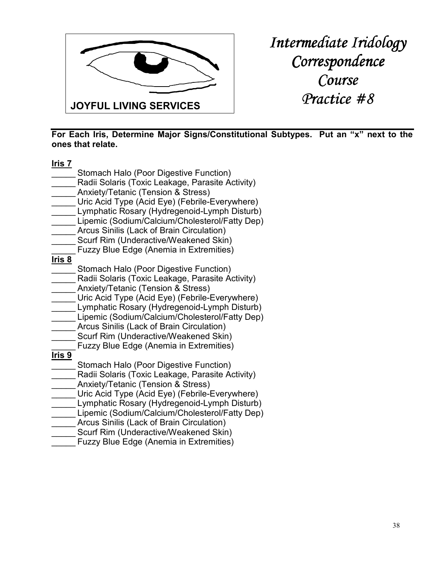

**For Each Iris, Determine Major Signs/Constitutional Subtypes. Put an "x" next to the ones that relate.** 

| <u>Iris 7</u> |                                                  |
|---------------|--------------------------------------------------|
|               | Stomach Halo (Poor Digestive Function)           |
|               | Radii Solaris (Toxic Leakage, Parasite Activity) |
|               | Anxiety/Tetanic (Tension & Stress)               |
|               | Uric Acid Type (Acid Eye) (Febrile-Everywhere)   |
|               | Lymphatic Rosary (Hydregenoid-Lymph Disturb)     |
|               | Lipemic (Sodium/Calcium/Cholesterol/Fatty Dep)   |
|               | Arcus Sinilis (Lack of Brain Circulation)        |
|               | Scurf Rim (Underactive/Weakened Skin)            |
|               | <b>Fuzzy Blue Edge (Anemia in Extremities)</b>   |
| Iris 8        |                                                  |
|               | Stomach Halo (Poor Digestive Function)           |
|               | Radii Solaris (Toxic Leakage, Parasite Activity) |
|               | Anxiety/Tetanic (Tension & Stress)               |
|               | Uric Acid Type (Acid Eye) (Febrile-Everywhere)   |
|               | Lymphatic Rosary (Hydregenoid-Lymph Disturb)     |
|               | Lipemic (Sodium/Calcium/Cholesterol/Fatty Dep)   |
|               | Arcus Sinilis (Lack of Brain Circulation)        |
|               | Scurf Rim (Underactive/Weakened Skin)            |
|               | <b>Fuzzy Blue Edge (Anemia in Extremities)</b>   |
| <u>Iris 9</u> |                                                  |
|               | Stomach Halo (Poor Digestive Function)           |
|               | Radii Solaris (Toxic Leakage, Parasite Activity) |
|               | Anxiety/Tetanic (Tension & Stress)               |
|               | Uric Acid Type (Acid Eye) (Febrile-Everywhere)   |
|               | Lymphatic Rosary (Hydregenoid-Lymph Disturb)     |
|               | Lipemic (Sodium/Calcium/Cholesterol/Fatty Dep)   |
|               | Arcus Sinilis (Lack of Brain Circulation)        |
|               | Scurf Rim (Underactive/Weakened Skin)            |
|               | <b>Fuzzy Blue Edge (Anemia in Extremities)</b>   |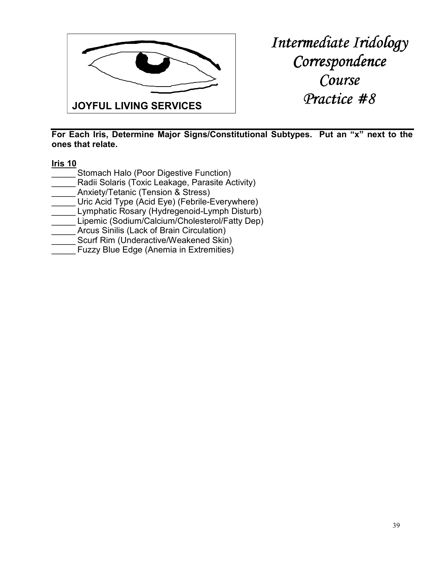

**For Each Iris, Determine Major Signs/Constitutional Subtypes. Put an "x" next to the ones that relate.** 

#### **Iris 10**

- Stomach Halo (Poor Digestive Function) Radii Solaris (Toxic Leakage, Parasite Activity) Anxiety/Tetanic (Tension & Stress) Uric Acid Type (Acid Eye) (Febrile-Everywhere) Lymphatic Rosary (Hydregenoid-Lymph Disturb) Lipemic (Sodium/Calcium/Cholesterol/Fatty Dep) Arcus Sinilis (Lack of Brain Circulation) Scurf Rim (Underactive/Weakened Skin)
- Fuzzy Blue Edge (Anemia in Extremities)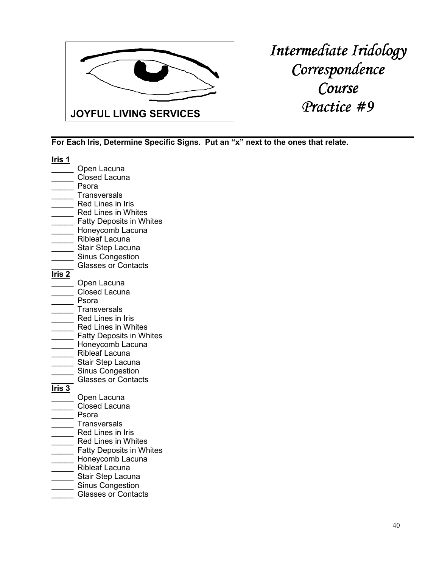

| Iris 1            |                                                       |
|-------------------|-------------------------------------------------------|
|                   | Open Lacuna                                           |
|                   | <b>Closed Lacuna</b>                                  |
|                   | Psora                                                 |
|                   | <b>Transversals</b>                                   |
|                   | Red Lines in Iris                                     |
|                   | <b>Red Lines in Whites</b>                            |
|                   | <b>Fatty Deposits in Whites</b>                       |
|                   | Honeycomb Lacuna                                      |
|                   | <b>Ribleaf Lacuna</b>                                 |
|                   | Stair Step Lacuna                                     |
|                   | <b>Sinus Congestion</b>                               |
|                   | <b>Glasses or Contacts</b>                            |
| <u>Iris 2</u>     |                                                       |
|                   | Open Lacuna                                           |
|                   | <b>Closed Lacuna</b>                                  |
|                   | Psora                                                 |
|                   | <b>Transversals</b>                                   |
|                   | Red Lines in Iris<br><b>Red Lines in Whites</b>       |
|                   | <b>Fatty Deposits in Whites</b>                       |
|                   | Honeycomb Lacuna                                      |
|                   | <b>Ribleaf Lacuna</b>                                 |
|                   | Stair Step Lacuna                                     |
|                   | <b>Sinus Congestion</b>                               |
|                   | <b>Glasses or Contacts</b>                            |
| Iris <sub>3</sub> |                                                       |
|                   | Open Lacuna                                           |
|                   | Closed Lacuna                                         |
|                   | Psora                                                 |
|                   | <b>Transversals</b>                                   |
|                   | Red Lines in Iris                                     |
|                   | <b>Red Lines in Whites</b>                            |
|                   | <b>Fatty Deposits in Whites</b>                       |
|                   | Honeycomb Lacuna                                      |
|                   | <b>Ribleaf Lacuna</b>                                 |
|                   | Stair Step Lacuna                                     |
|                   | <b>Sinus Congestion</b><br><b>Glasses or Contacts</b> |
|                   |                                                       |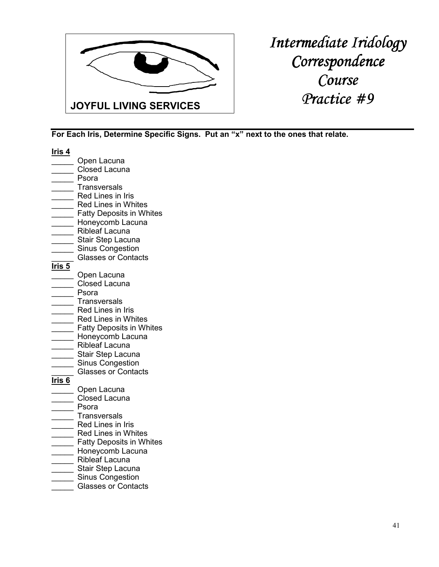

| lris 4        |                                          |
|---------------|------------------------------------------|
|               | Open Lacuna                              |
|               | <b>Closed Lacuna</b>                     |
|               | Psora                                    |
|               | <b>Transversals</b>                      |
|               | Red Lines in Iris                        |
|               | <b>Red Lines in Whites</b>               |
|               | <b>Fatty Deposits in Whites</b>          |
|               | Honeycomb Lacuna                         |
|               | <b>Ribleaf Lacuna</b>                    |
|               | Stair Step Lacuna                        |
|               | <b>Sinus Congestion</b>                  |
|               | <b>Glasses or Contacts</b>               |
| <u>Iris 5</u> |                                          |
|               | Open Lacuna                              |
|               | <b>Closed Lacuna</b>                     |
|               | Psora                                    |
|               | <b>Transversals</b>                      |
|               | <b>Red Lines in Iris</b>                 |
|               | <b>Red Lines in Whites</b>               |
|               | <b>Fatty Deposits in Whites</b>          |
|               | Honeycomb Lacuna                         |
|               | <b>Ribleaf Lacuna</b>                    |
|               | Stair Step Lacuna                        |
|               | <b>Sinus Congestion</b>                  |
|               | <b>Glasses or Contacts</b>               |
| Iris 6        |                                          |
|               | Open Lacuna                              |
|               | <b>Closed Lacuna</b>                     |
|               | Psora                                    |
|               | <b>Transversals</b><br>Red Lines in Iris |
|               | <b>Red Lines in Whites</b>               |
|               | <b>Fatty Deposits in Whites</b>          |
|               | Honeycomb Lacuna                         |
|               | <b>Ribleaf Lacuna</b>                    |
|               | Stair Step Lacuna                        |
|               | <b>Sinus Congestion</b>                  |
|               | <b>Glasses or Contacts</b>               |
|               |                                          |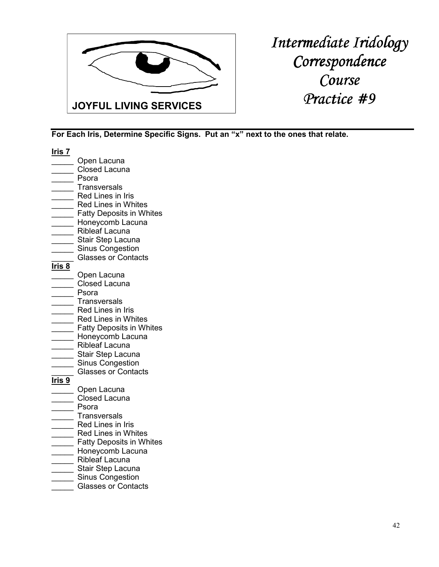

| <u> Iris 7</u> |                                                     |
|----------------|-----------------------------------------------------|
|                | Open Lacuna                                         |
|                | <b>Closed Lacuna</b>                                |
|                | Psora                                               |
|                | <b>Transversals</b>                                 |
|                | Red Lines in Iris                                   |
|                | <b>Red Lines in Whites</b>                          |
|                | <b>Fatty Deposits in Whites</b>                     |
|                | Honeycomb Lacuna                                    |
|                | Ribleaf Lacuna                                      |
|                | Stair Step Lacuna                                   |
|                | <b>Sinus Congestion</b>                             |
|                | <b>Glasses or Contacts</b>                          |
| <u>Iris 8</u>  |                                                     |
|                | Open Lacuna                                         |
|                | <b>Closed Lacuna</b>                                |
|                | Psora                                               |
|                | <b>Transversals</b>                                 |
|                | Red Lines in Iris                                   |
|                | <b>Red Lines in Whites</b>                          |
|                | <b>Fatty Deposits in Whites</b>                     |
|                | Honeycomb Lacuna                                    |
|                | <b>Ribleaf Lacuna</b>                               |
|                | Stair Step Lacuna                                   |
|                | <b>Sinus Congestion</b>                             |
|                | <b>Glasses or Contacts</b>                          |
| <u>Iris 9</u>  |                                                     |
|                | Open Lacuna                                         |
|                | <b>Closed Lacuna</b>                                |
|                | Psora                                               |
|                | <b>Transversals</b>                                 |
|                | Red Lines in Iris<br>Red Lines in Whites            |
|                |                                                     |
|                | <b>Fatty Deposits in Whites</b><br>Honeycomb Lacuna |
|                | <b>Ribleaf Lacuna</b>                               |
|                | Stair Step Lacuna                                   |
|                | <b>Sinus Congestion</b>                             |
|                | <b>Glasses or Contacts</b>                          |
|                |                                                     |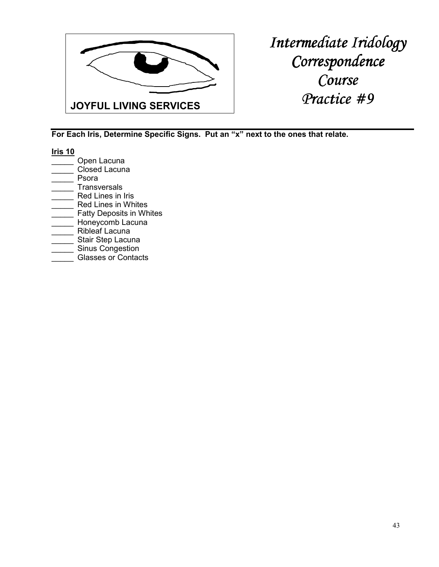

| Iris 10 |                                 |
|---------|---------------------------------|
|         | Open Lacuna                     |
|         | <b>Closed Lacuna</b>            |
|         | Psora                           |
|         | <b>Transversals</b>             |
|         | Red Lines in Iris               |
|         | <b>Red Lines in Whites</b>      |
|         | <b>Fatty Deposits in Whites</b> |
|         | Honeycomb Lacuna                |
|         | <b>Ribleaf Lacuna</b>           |
|         | Stair Step Lacuna               |
|         | <b>Sinus Congestion</b>         |
|         | <b>Glasses or Contacts</b>      |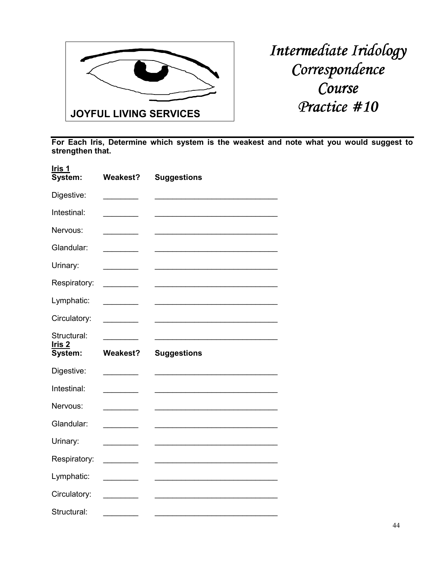

| <u>Iris 1</u><br>System: | <b>Weakest?</b> | <b>Suggestions</b> |
|--------------------------|-----------------|--------------------|
| Digestive:               |                 |                    |
| Intestinal:              |                 |                    |
| Nervous:                 |                 |                    |
| Glandular:               |                 |                    |
| Urinary:                 |                 |                    |
| Respiratory:             |                 |                    |
| Lymphatic:               |                 |                    |
| Circulatory:             |                 |                    |
| Structural:              |                 |                    |
| <u>Iris 2</u><br>System: | <b>Weakest?</b> | <b>Suggestions</b> |
| Digestive:               |                 |                    |
| Intestinal:              |                 |                    |
| Nervous:                 |                 |                    |
| Glandular:               |                 |                    |
| Urinary:                 |                 |                    |
|                          |                 |                    |
| Respiratory:             |                 |                    |
| Lymphatic:               |                 |                    |
| Circulatory:             |                 |                    |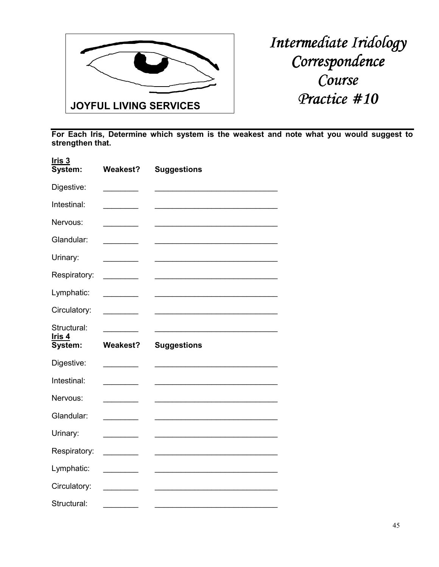

| $l$ ris 3<br>System:                    | <b>Weakest?</b> | <b>Suggestions</b> |
|-----------------------------------------|-----------------|--------------------|
| Digestive:                              |                 |                    |
| Intestinal:                             |                 |                    |
| Nervous:                                |                 |                    |
| Glandular:                              |                 |                    |
| Urinary:                                |                 |                    |
| Respiratory:                            |                 |                    |
| Lymphatic:                              |                 |                    |
| Circulatory:                            |                 |                    |
| Structural:<br><u>Iris 4</u><br>System: | <b>Weakest?</b> | <b>Suggestions</b> |
|                                         |                 |                    |
| Digestive:                              |                 |                    |
| Intestinal:                             |                 |                    |
| Nervous:                                |                 |                    |
| Glandular:                              |                 |                    |
|                                         |                 |                    |
| Urinary:                                |                 |                    |
| Respiratory:                            |                 |                    |
| Lymphatic:                              |                 |                    |
| Circulatory:                            |                 |                    |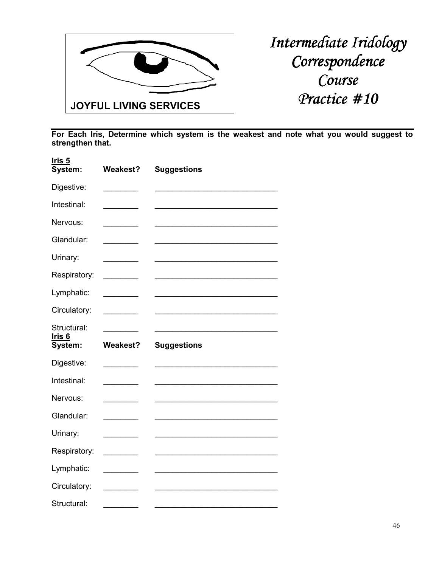

| Iris <sub>5</sub><br>System:            | <b>Weakest?</b> | <b>Suggestions</b> |
|-----------------------------------------|-----------------|--------------------|
| Digestive:                              |                 |                    |
| Intestinal:                             |                 |                    |
| Nervous:                                |                 |                    |
| Glandular:                              |                 |                    |
| Urinary:                                |                 |                    |
| Respiratory:                            |                 |                    |
| Lymphatic:                              |                 |                    |
| Circulatory:                            |                 |                    |
| Structural:<br><u>Iris 6</u><br>System: | <b>Weakest?</b> | <b>Suggestions</b> |
| Digestive:                              |                 |                    |
| Intestinal:                             |                 |                    |
| Nervous:                                |                 |                    |
| Glandular:                              |                 |                    |
| Urinary:                                |                 |                    |
|                                         |                 |                    |
| Respiratory:                            |                 |                    |
| Lymphatic:                              |                 |                    |
| Circulatory:                            |                 |                    |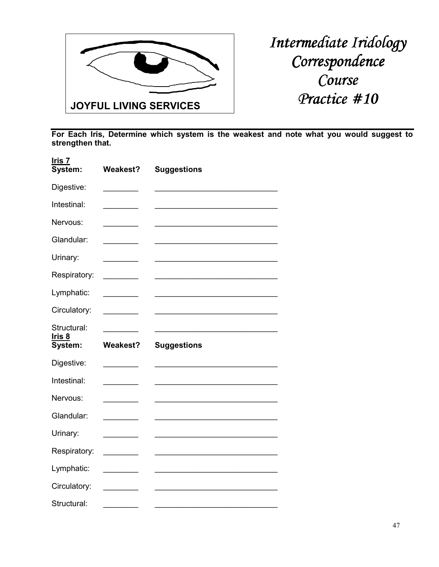

| Iris 7<br>System:                       | <b>Weakest?</b> | <b>Suggestions</b> |
|-----------------------------------------|-----------------|--------------------|
| Digestive:                              |                 |                    |
| Intestinal:                             |                 |                    |
| Nervous:                                |                 |                    |
| Glandular:                              |                 |                    |
| Urinary:                                |                 |                    |
| Respiratory:                            |                 |                    |
| Lymphatic:                              |                 |                    |
| Circulatory:                            |                 |                    |
| Structural:<br><u>Iris 8</u><br>System: | <b>Weakest?</b> | <b>Suggestions</b> |
| Digestive:                              |                 |                    |
| Intestinal:                             |                 |                    |
| Nervous:                                |                 |                    |
|                                         |                 |                    |
| Glandular:                              |                 |                    |
| Urinary:                                |                 |                    |
| Respiratory:                            |                 |                    |
| Lymphatic:                              |                 |                    |
| Circulatory:                            |                 |                    |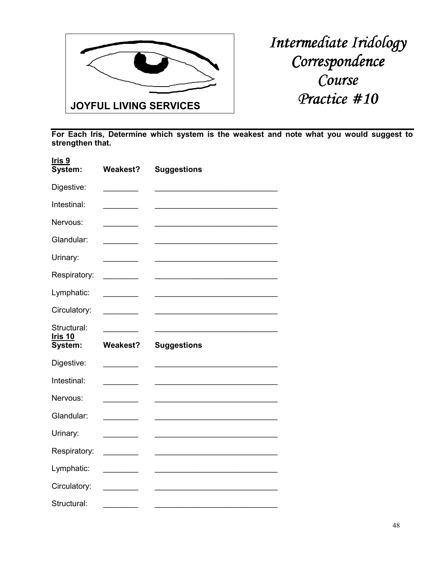

| Iris <sub>9</sub><br>System:             | <b>Weakest?</b> | <b>Suggestions</b> |
|------------------------------------------|-----------------|--------------------|
| Digestive:                               |                 |                    |
| Intestinal:                              |                 |                    |
| Nervous:                                 |                 |                    |
| Glandular:                               |                 |                    |
| Urinary:                                 |                 |                    |
| Respiratory:                             |                 |                    |
| Lymphatic:                               |                 |                    |
| Circulatory:                             |                 |                    |
| Structural:<br><u>Iris 10</u><br>System: | <b>Weakest?</b> | <b>Suggestions</b> |
| Digestive:                               |                 |                    |
| Intestinal:                              |                 |                    |
| Nervous:                                 |                 |                    |
| Glandular:                               |                 |                    |
| Urinary:                                 |                 |                    |
|                                          |                 |                    |
| Respiratory:                             |                 |                    |
| Lymphatic:                               |                 |                    |
|                                          |                 |                    |
| Circulatory:                             |                 |                    |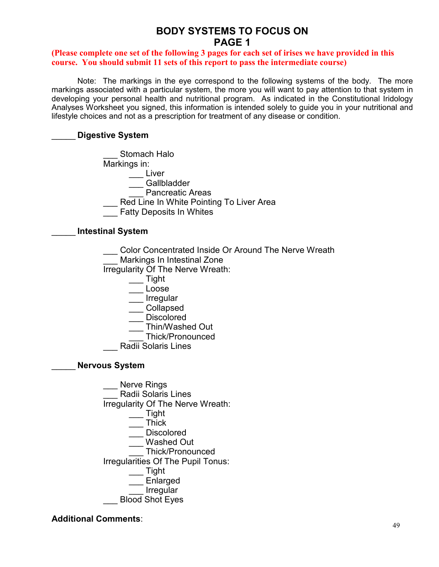# **BODY SYSTEMS TO FOCUS ON PAGE 1**

#### **(Please complete one set of the following 3 pages for each set of irises we have provided in this course. You should submit 11 sets of this report to pass the intermediate course)**

 Note: The markings in the eye correspond to the following systems of the body. The more markings associated with a particular system, the more you will want to pay attention to that system in developing your personal health and nutritional program. As indicated in the Constitutional Iridology Analyses Worksheet you signed, this information is intended solely to guide you in your nutritional and lifestyle choices and not as a prescription for treatment of any disease or condition.

### \_\_\_\_\_ **Digestive System**

Stomach Halo Markings in:  $\equiv$  Liver \_\_\_ Gallbladder Pancreatic Areas Red Line In White Pointing To Liver Area \_\_\_ Fatty Deposits In Whites

### \_\_\_\_\_ **Intestinal System**

Color Concentrated Inside Or Around The Nerve Wreath \_\_\_ Markings In Intestinal Zone Irregularity Of The Nerve Wreath:  $\overline{\phantom{a}}$  Tight \_\_\_ Loose **Irregular**  \_\_\_ Collapsed Discolored \_\_\_ Thin/Washed Out \_\_\_ Thick/Pronounced \_\_\_ Radii Solaris Lines \_\_\_\_\_ **Nervous System** \_\_\_ Nerve Rings \_\_\_ Radii Solaris Lines

 Irregularity Of The Nerve Wreath: \_\_\_ Tight  $\overline{\phantom{a}}$  Thick \_\_\_ Discolored Washed Out \_\_\_ Thick/Pronounced Irregularities Of The Pupil Tonus: \_\_\_ Tight \_\_\_ Enlarged **Irregular** \_\_\_ Blood Shot Eyes

# **Additional Comments**: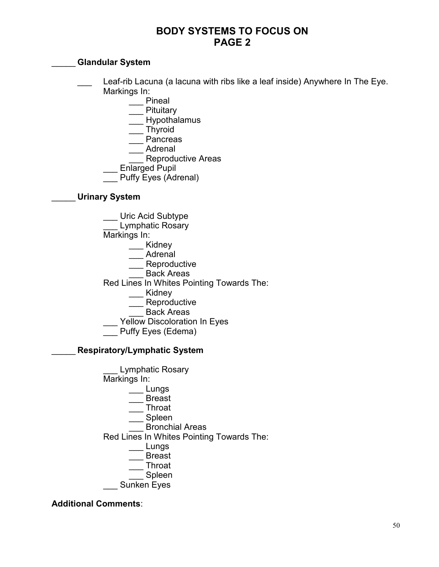# **BODY SYSTEMS TO FOCUS ON PAGE 2**

# \_\_\_\_\_ **Glandular System**

- Leaf-rib Lacuna (a lacuna with ribs like a leaf inside) Anywhere In The Eye. Markings In:
	- \_\_\_ Pineal
	- **Pituitary**
	- Hypothalamus
	- \_\_\_ Thyroid
	- \_\_\_ Pancreas
	- \_\_\_ Adrenal
	- Reproductive Areas
	- \_\_\_ Enlarged Pupil
	- Puffy Eyes (Adrenal)

# \_\_\_\_\_ **Urinary System**

- Uric Acid Subtype
	- Lymphatic Rosary
- Markings In:
	- \_\_\_ Kidney
	- \_\_\_ Adrenal
	- \_\_\_ Reproductive
	- Back Areas
- Red Lines In Whites Pointing Towards The:
	- \_\_\_ Kidney
		- Reproductive
		- Back Areas
- Yellow Discoloration In Eyes
- Puffy Eyes (Edema)

# \_\_\_\_\_ **Respiratory/Lymphatic System**



# **Additional Comments**: